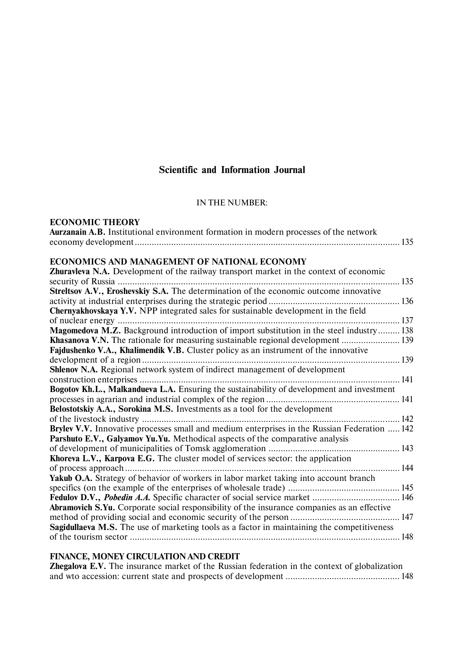# **Scientific and Information Journal**

# IN THE NUMBER:

# **ECONOMIC THEORY**

| <b>Aurzanain A.B.</b> Institutional environment formation in modern processes of the network |  |
|----------------------------------------------------------------------------------------------|--|
|                                                                                              |  |

# **ECONOMICS AND MANAGEMENT OF NATIONAL ECONOMY**

| <b>Zhuravieva N.A.</b> Development of the railway transport market in the context of economic      |     |
|----------------------------------------------------------------------------------------------------|-----|
|                                                                                                    | 135 |
| Streltsov A.V., Eroshevskiy S.A. The determination of the economic outcome innovative              |     |
|                                                                                                    |     |
| <b>Chernyakhovskaya Y.V.</b> NPP integrated sales for sustainable development in the field         |     |
|                                                                                                    |     |
| Magomedova M.Z. Background introduction of import substitution in the steel industry 138           |     |
|                                                                                                    |     |
| Fajdushenko V.A., Khalimendik V.B. Cluster policy as an instrument of the innovative               |     |
|                                                                                                    |     |
| Shlenov N.A. Regional network system of indirect management of development                         |     |
|                                                                                                    |     |
| Bogotov Kh.L., Malkandueva L.A. Ensuring the sustainability of development and investment          |     |
|                                                                                                    |     |
| Belostotskiy A.A., Sorokina M.S. Investments as a tool for the development                         |     |
|                                                                                                    |     |
| Brylev V.V. Innovative processes small and medium enterprises in the Russian Federation  142       |     |
| Parshuto E.V., Galyamov Yu.Yu. Methodical aspects of the comparative analysis                      |     |
|                                                                                                    |     |
| Khoreva L.V., Karpova E.G. The cluster model of services sector: the application                   |     |
|                                                                                                    |     |
| Yakub O.A. Strategy of behavior of workers in labor market taking into account branch              |     |
|                                                                                                    |     |
| Fedulov D.V., Pobedin A.A. Specific character of social service market  146                        |     |
| <b>Abramovich S.Yu.</b> Corporate social responsibility of the insurance companies as an effective |     |
|                                                                                                    |     |
| <b>Sagidullaeva M.S.</b> The use of marketing tools as a factor in maintaining the competitiveness |     |
|                                                                                                    |     |
|                                                                                                    |     |

# **FINANCE, MONEY CIRCULATION AND CREDIT**

**Zhegalova E.V.** The insurance market of the Russian federation in the context of globalization and wto accession: current state and prospects of development ............................................... 148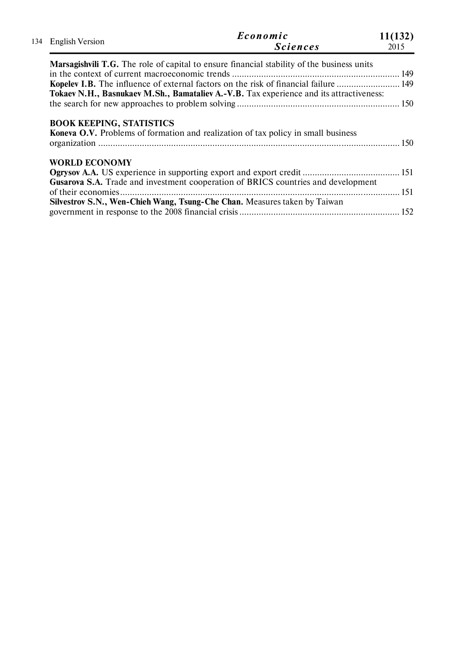| 134 English Version  | Economic<br><b>Sciences</b>                                                                       | 11(132)<br>2015 |
|----------------------|---------------------------------------------------------------------------------------------------|-----------------|
|                      | <b>Marsagishvili T.G.</b> The role of capital to ensure financial stability of the business units |                 |
|                      |                                                                                                   |                 |
|                      | Kopelev I.B. The influence of external factors on the risk of financial failure  149              |                 |
|                      | Tokaev N.H., Basnukaev M.Sh., Bamataliev A.-V.B. Tax experience and its attractiveness:           |                 |
|                      |                                                                                                   |                 |
|                      | <b>Koneva O.V.</b> Problems of formation and realization of tax policy in small business          |                 |
| <b>WORLD ECONOMY</b> |                                                                                                   |                 |
|                      |                                                                                                   |                 |
|                      | Gusarova S.A. Trade and investment cooperation of BRICS countries and development                 |                 |
|                      |                                                                                                   |                 |
|                      | Silvestrov S.N., Wen-Chieh Wang, Tsung-Che Chan. Measures taken by Taiwan                         |                 |
|                      |                                                                                                   |                 |
|                      |                                                                                                   |                 |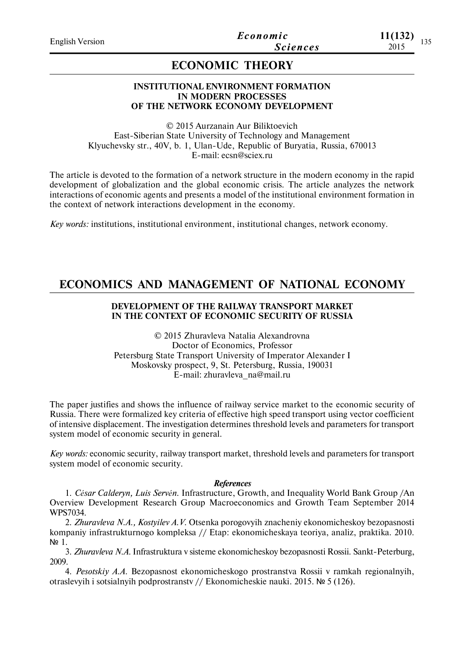# **ECONOMIC THEORY**

### **INSTITUTIONAL ENVIRONMENT FORMATION IN MODERN PROCESSES OF THE NETWORK ECONOMY DEVELOPMENT**

© 2015 Aurzanain Aur Biliktoevich East-Siberian State University of Technology and Management Klyuchevsky str., 40V, b. 1, Ulan-Ude, Republic of Buryatia, Russia, 670013 E-mail: ecsn@sciex.ru

The article is devoted to the formation of a network structure in the modern economy in the rapid development of globalization and the global economic crisis. The article analyzes the network interactions of economic agents and presents a model of the institutional environment formation in the context of network interactions development in the economy.

*Key words:* institutions, institutional environment, institutional changes, network economy.

# **ECONOMICS AND MANAGEMENT OF NATIONAL ECONOMY**

# **DEVELOPMENT OF THE RAILWAY TRANSPORT MARKET IN THE CONTEXT OF ECONOMIC SECURITY OF RUSSIA**

© 2015 Zhuravleva Natalia Aleхandrovna Doctor of Economics, Professor Petersburg State Transport University of Imperator Alexander I Moskovsky prospect, 9, St. Petersburg, Russia, 190031 E-mail: zhuravleva\_na@mail.ru

The paper justifies and shows the influence of railway service market to the economic security of Russia. There were formalized key criteria of effective high speed transport using vector coefficient of intensive displacement. The investigation determines threshold levels and parameters for transport system model of economic security in general.

*Key words:* economic security, railway transport market, threshold levels and parameters for transport system model of economic security.

### *References*

1. *César Calderуn, Luis Servén.* Infrastructure, Growth, and Inequality World Bank Group /An Overview Development Research Group Macroeconomics and Growth Team September 2014 WPS7034.

2. *Zhuravleva N.A., Kostyilev A.V.* Otsenka porogovyih znacheniy ekonomicheskoy bezopasnosti kompaniy infrastrukturnogo kompleksa // Etap: ekonomicheskaya teoriya, analiz, praktika. 2010. № 1.

3. *Zhuravleva N.A.* Infrastruktura v sisteme ekonomicheskoy bezopasnosti Rossii. Sankt-Peterburg, 2009.

4. *Pesotskiy A.A.* Bezopasnost ekonomicheskogo prostranstva Rossii v ramkah regionalnyih, otraslevyih i sotsialnyih podprostranstv // Ekonomicheskie nauki. 2015. № 5 (126).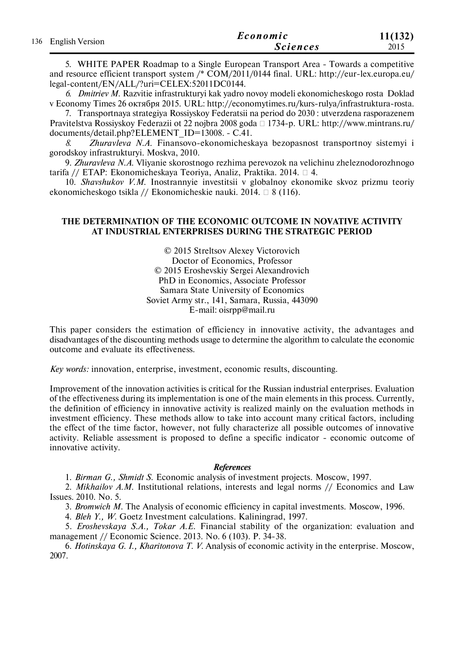|                     | Economic        | 11(132) |
|---------------------|-----------------|---------|
| 136 English Version | <i>Sciences</i> | 2015    |

5. WHITE PAPER Roadmap to a Single European Transport Area - Towards a competitive and resource efficient transport system /\* COM/2011/0144 final. URL: http://eur-lex.europa.eu/ legal-content/EN/ALL/?uri=CELEX:52011DC0144.

*6. Dmitriev M.* Razvitie infrastrukturyi kak yadro novoy modeli ekonomicheskogo rosta Doklad v Economy Times 26 октября 2015. URL: http://economytimes.ru/kurs-rulya/infrastruktura-rosta.

7. Transportnaya strategiya Rossiyskoy Federatsii na period do 2030 : utverzdena rasporazenem Pravitelstva Rossiyskoy Federazii ot 22 nojbra 2008 goda □ 1734-p. URL: http://www.mintrans.ru/ documents/detail.php?ELEMENT\_ID=13008. - С.41.

*8. Zhuravleva N.A.* Finansovo-ekonomicheskaya bezopasnost transportnoy sistemyi i gorodskoy infrastrukturyi. Moskva, 2010.

9. *Zhuravleva N.A.* Vliyanie skorostnogo rezhima perevozok na velichinu zheleznodorozhnogo tarifa // ETAP: Ekonomicheskaya Teoriya, Analiz, Praktika. 2014. 4.

10. *Shavshukov V.M.* Inostrannyie investitsii v globalnoy ekonomike skvoz prizmu teoriy ekonomicheskogo tsikla // Ekonomicheskie nauki. 2014.  $\Box$  8 (116).

## **THE DETERMINATION OF THE ECONOMIC OUTCOME IN NOVATIVE ACTIVITY AT INDUSTRIAL ENTERPRISES DURING THE STRATEGIC PERIOD**

© 2015 Streltsov Alexey Victorovich Doctor of Economics, Professor © 2015 Eroshevskiy Sergei Aleхandrovich PhD in Economics, Associate Professor Samara State University of Economics Soviet Army str., 141, Samara, Russia, 443090 E-mail: oisrpp@mail.ru

This paper considers the estimation of efficiency in innovative activity, the advantages and disadvantages of the discounting methods usage to determine the algorithm to calculate the economic outcome and evaluate its effectiveness.

*Key words:* innovation, enterprise, investment, economic results, discounting.

Improvement of the innovation activities is critical for the Russian industrial enterprises. Evaluation of the effectiveness during its implementation is one of the main elements in this process. Currently, the definition of efficiency in innovative activity is realized mainly on the evaluation methods in investment efficiency. These methods allow to take into account many critical factors, including the effect of the time factor, however, not fully characterize all possible outcomes of innovative activity. Reliable assessment is proposed to define a specific indicator - economic outcome of innovative activity.

### *References*

1. *Birman G., Shmidt S.* Economic analysis of investment projects. Moscow, 1997.

2. *Mikhailov A.M.* Institutional relations, interests and legal norms // Economics and Law Issues. 2010. No. 5.

3. *Bromwich M.* The Analysis of economic efficiency in capital investments. Moscow, 1996.

4. *Bleh Y., W*. Goetz Investment calculations. Kaliningrad, 1997.

5. *Eroshevskaya S.A., Tokar A.E.* Financial stability of the organization: evaluation and management // Economic Science. 2013. No. 6 (103). Р. 34-38.

6. *Hotinskaya G. I., Kharitonova T. V.* Analysis of economic activity in the enterprise. Moscow, 2007.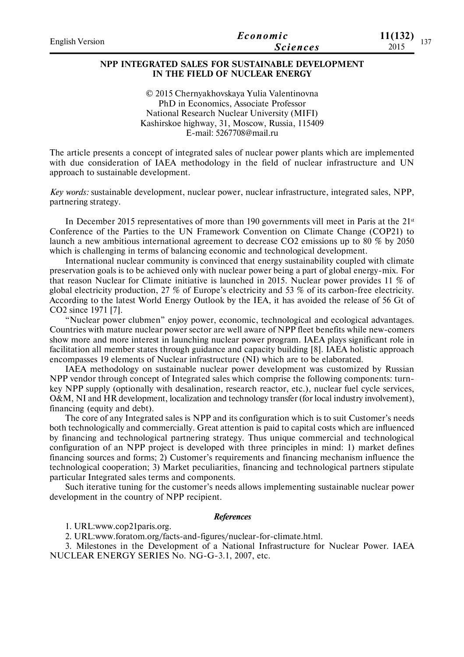| <b>English Version</b> | Economic        | 11(132)<br>1.27 |
|------------------------|-----------------|-----------------|
|                        | <i>Sciences</i> | 2015            |

# **NPP INTEGRATED SALES FOR SUSTAINABLE DEVELOPMENT IN THE FIELD OF NUCLEAR ENERGY**

© 2015 Chernyakhovskaya Yulia Valentinovna PhD in Economics, Associate Professor National Research Nuclear University (MIFI) Kashirskoe highway, 31, Moscow, Russia, 115409 E-mail: 5267708@mail.ru

The article presents a concept of integrated sales of nuclear power plants which are implemented with due consideration of IAEA methodology in the field of nuclear infrastructure and UN approach to sustainable development.

*Key words:* sustainable development, nuclear power, nuclear infrastructure, integrated sales, NPP, partnering strategy.

In December 2015 representatives of more than 190 governments vill meet in Paris at the  $21<sup>st</sup>$ Conference of the Parties to the UN Framework Convention on Climate Change (COP21) to launch a new ambitious international agreement to decrease CO2 emissions up to 80 % by 2050 which is challenging in terms of balancing economic and technological development.

International nuclear community is convinced that energy sustainability coupled with climate preservation goals is to be achieved only with nuclear power being a part of global energy-mix. For that reason Nuclear for Climate initiative is launched in 2015. Nuclear power provides 11 % of global electricity production, 27 % of Europe's electricity and 53 % of its carbon-free electricity. According to the latest World Energy Outlook by the IEA, it has avoided the release of 56 Gt of CO2 since 1971 [7].

"Nuclear power clubmen" enjoy power, economic, technological and ecological advantages. Countries with mature nuclear power sector are well aware of NPP fleet benefits while new-comers show more and more interest in launching nuclear power program. IAEA plays significant role in facilitation all member states through guidance and capacity building [8]. IAEA holistic approach encompasses 19 elements of Nuclear infrastructure (NI) which are to be elaborated.

IAEA methodology on sustainable nuclear power development was customized by Russian NPP vendor through concept of Integrated sales which comprise the following components: turnkey NPP supply (optionally with desalination, research reactor, etc.), nuclear fuel cycle services, O&M, NI and HR development, localization and technology transfer (for local industry involvement), financing (equity and debt).

The core of any Integrated sales is NPP and its configuration which is to suit Customer's needs both technologically and commercially. Great attention is paid to capital costs which are influenced by financing and technological partnering strategy. Thus unique commercial and technological configuration of an NPP project is developed with three principles in mind: 1) market defines financing sources and forms; 2) Customer's requirements and financing mechanism influence the technological cooperation; 3) Market peculiarities, financing and technological partners stipulate particular Integrated sales terms and components.

Such iterative tuning for the customer's needs allows implementing sustainable nuclear power development in the country of NPP recipient.

#### *References*

1. URL:www.cop21paris.org.

2. URL:www.foratom.org/facts-and-figures/nuclear-for-climate.html.

3. Milestones in the Development of a National Infrastructure for Nuclear Power. IAEA NUCLEAR ENERGY SERIES No. NG-G-3.1, 2007, etc.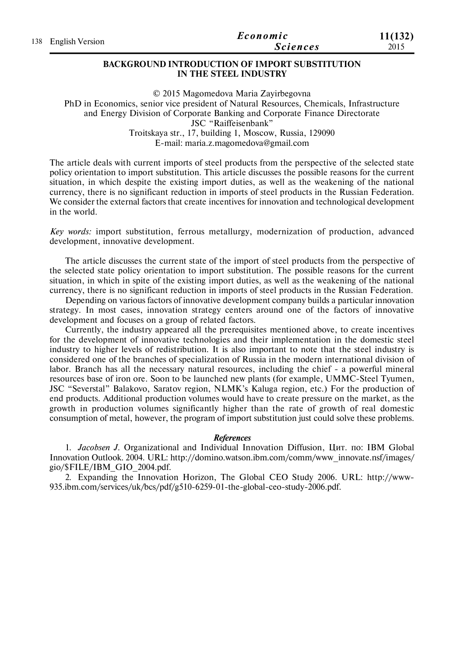| 138 English Version | Economic | 11(132)         |      |
|---------------------|----------|-----------------|------|
|                     |          | <b>Sciences</b> | 2015 |

### **BACKGROUND INTRODUCTION OF IMPORT SUBSTITUTION IN THE STEEL INDUSTRY**

© 2015 Magomedova Maria Zayirbegovna PhD in Economics, senior vice president of Natural Resources, Chemicals, Infrastructure and Energy Division of Corporate Banking and Corporate Finance Directorate JSC "Raiffeisenbank" Troitskaya str., 17, building 1, Moscow, Russia, 129090 E-mail: maria.z.magomedova@gmail.com

The article deals with current imports of steel products from the perspective of the selected state policy orientation to import substitution. This article discusses the possible reasons for the current situation, in which despite the existing import duties, as well as the weakening of the national currency, there is no significant reduction in imports of steel products in the Russian Federation. We consider the external factors that create incentives for innovation and technological development in the world.

*Key words:* import substitution, ferrous metallurgy, modernization of production, advanced development, innovative development.

The article discusses the current state of the import of steel products from the perspective of the selected state policy orientation to import substitution. The possible reasons for the current situation, in which in spite of the existing import duties, as well as the weakening of the national currency, there is no significant reduction in imports of steel products in the Russian Federation.

Depending on various factors of innovative development company builds a particular innovation strategy. In most cases, innovation strategy centers around one of the factors of innovative development and focuses on a group of related factors.

Currently, the industry appeared all the prerequisites mentioned above, to create incentives for the development of innovative technologies and their implementation in the domestic steel industry to higher levels of redistribution. It is also important to note that the steel industry is considered one of the branches of specialization of Russia in the modern international division of labor. Branch has all the necessary natural resources, including the chief - a powerful mineral resources base of iron ore. Soon to be launched new plants (for example, UMMC-Steel Tyumen, JSC "Severstal" Balakovo, Saratov region, NLMK's Kaluga region, etc.) For the production of end products. Additional production volumes would have to create pressure on the market, as the growth in production volumes significantly higher than the rate of growth of real domestic consumption of metal, however, the program of import substitution just could solve these problems.

### *References*

1. *Jacobsen J.* Organizational and Individual Innovation Diffusion, Цит. по: IBM Global Innovation Outlook. 2004. URL: http://domino.watson.ibm.com/comm/www\_innovate.nsf/images/ gio/\$FILE/IBM\_GIO\_2004.pdf.

2. Expanding the Innovation Horizon, The Global CEO Study 2006. URL: http://www-935.ibm.com/services/uk/bcs/pdf/g510-6259-01-the-global-ceo-study-2006.pdf.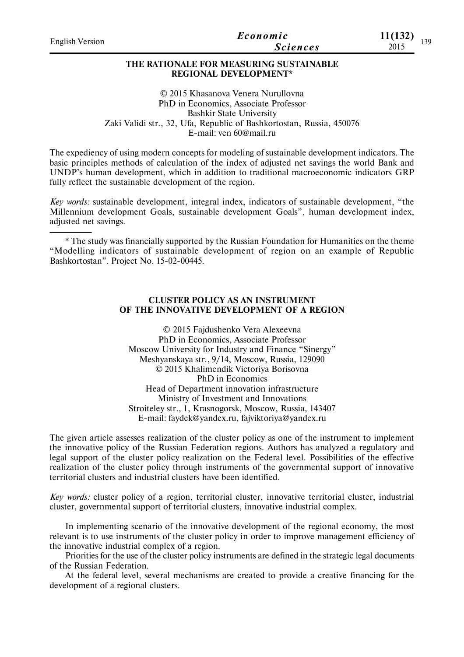| <b>English Version</b> | Economic<br><b>Sciences</b>                                             | 11(132)<br>2015 | 139 |
|------------------------|-------------------------------------------------------------------------|-----------------|-----|
|                        | THE RATIONALE FOR MEASURING SUSTAINABLE<br><b>REGIONAL DEVELOPMENT*</b> |                 |     |
|                        | © 2015 Khasanova Venera Nurullovna                                      |                 |     |

PhD in Economics, Associate Professor Bashkir State University Zaki Validi str., 32, Ufa, Republic of Bashkortostan, Russia, 450076 E-mail: ven 60@mail.ru

The expediency of using modern concepts for modeling of sustainable development indicators. The basic principles methods of calculation of the index of adjusted net savings the world Bank and UNDP's human development, which in addition to traditional macroeconomic indicators GRP fully reflect the sustainable development of the region.

*Key words:* sustainable development, integral index, indicators of sustainable development, "the Millennium development Goals, sustainable development Goals", human development index, adjusted net savings.

\* The study was financially supported by the Russian Foundation for Humanities on the theme "Modelling indicators of sustainable development of region on an example of Republic Bashkortostan". Project No. 15-02-00445.

## **CLUSTER POLICY AS AN INSTRUMENT OF THE INNOVATIVE DEVELOPMENT OF A REGION**

© 2015 Fajdushenko Vera Aleхeevna PhD in Economics, Associate Professor Moscow University for Industry and Finance "Sinergy" Meshyanskaya str., 9/14, Moscow, Russia, 129090 © 2015 Khalimendik Viсtoriya Borisovna PhD in Economics Head of Department innovation infrastructure Ministry of Investment and Innovations Stroiteley str., 1, Krasnogorsk, Moscow, Russia, 143407 E-mail: faydek@yandex.ru, fajviktoriya@yandex.ru

The given article assesses realization of the cluster policy as one of the instrument to implement the innovative policy of the Russian Federation regions. Authors has analyzed a regulatory and legal support of the cluster policy realization on the Federal level. Possibilities of the effective realization of the cluster policy through instruments of the governmental support of innovative territorial clusters and industrial clusters have been identified.

*Key words:* cluster policy of a region, territorial cluster, innovative territorial cluster, industrial cluster, governmental support of territorial clusters, innovative industrial complex.

In implementing scenario of the innovative development of the regional economy, the most relevant is to use instruments of the cluster policy in order to improve management efficiency of the innovative industrial complex of a region.

Priorities for the use of the cluster policy instruments are defined in the strategic legal documents of the Russian Federation.

At the federal level, several mechanisms are created to provide a creative financing for the development of a regional clusters.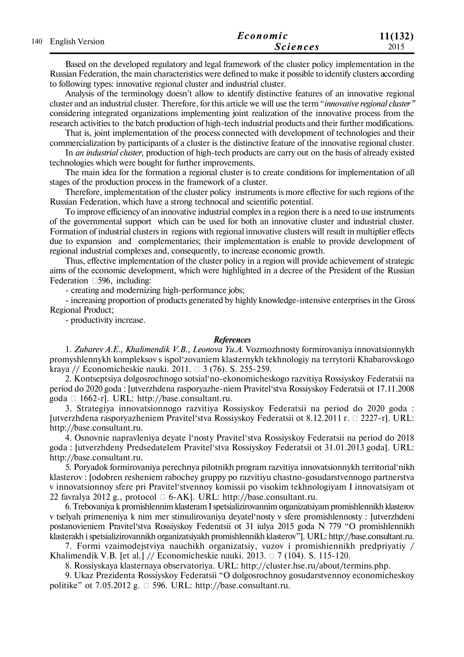| 140 English Version | Economic | 11(132)         |      |
|---------------------|----------|-----------------|------|
|                     |          | <b>Sciences</b> | 2015 |

Based on the developed regulatory and legal framework of the cluster policy implementation in the Russian Federation, the main characteristics were defined to make it possible to identify clusters according to following types: innovative regional cluster and industrial cluster.

Analysis of the terminology doesn't allow to identify distinctive features of an innovative regional cluster and an industrial cluster. Therefore, for this article we will use the term "*innovative regional cluster"* considering integrated organizations implementing joint realization of the innovative process from the research activities to the batch production of high-tech industrial products and their further modifications.

That is, joint implementation of the process connected with development of technologies and their commercialization by participants of a cluster is the distinctive feature of the innovative regional cluster.

In *an industrial cluster*, production of high-tech products are carry out on the basis of already existed technologies which were bought for further improvements.

The main idea for the formation a regional cluster is to create conditions for implementation of all stages of the production process in the framework of a cluster.

Therefore, implementation of the cluster policy instruments is more effective for such regions of the Russian Federation, which have a strong technocal and scientific potential.

To improve efficiency of an innovative industrial complex in a region there is a need to use instruments of the governmental support which can be used for both an innovative cluster and industrial cluster. Formation of industrial clusters in regions with regional innovative clusters will result in multiplier effects due to expansion and complementaries; their implementation is enable to provide development of regional industrial complexes and, consequently, to increase economic growth.

Thus, effective implementation of the cluster policy in a region will provide achievement of strategic aims of the economic development, which were highlighted in a decree of the President of the Russian Federation  $\Box$  596, including:

- creating and modernizing high-performance jobs;

- increasing proportion of products generated by highly knowledge-intensive enterprises in the Gross Regional Product;

- productivity increase.

#### *References*

1. *Zubarev A.E., Khalimendik V.B., Leonova Yu.A.* Vozmozhnosty formirovaniya innovatsionnykh promyshlennykh kompleksov s ispol'zovaniem klasternykh tekhnologiy na terrytorii Khabarovskogo kraya // Economicheskie nauki. 2011.  $\Box$  3 (76). S. 255-259.

2. Kontseptsiya dolgosrochnogo sotsial'no-ekonomicheskogo razvitiya Rossiyskoy Federatsii na period do 2020 goda : [utverzhdena rasporyazhe-niem Pravitel'stva Rossiyskoy Federatsii ot 17.11.2008 goda 1662-r]. URL: http://base.consultant.ru.

3. Strategiya innovatsionnogo razvitiya Rossiyskoy Federatsii na period do 2020 goda : [utverzhdena rasporyazheniem Pravitel'stva Rossiyskoy Federatsii ot 8.12.2011 г. 2227-r]. URL: http://base.consultant.ru.

4. Osnovnie napravleniya deyate l'nosty Pravitel'stva Rossiyskoy Federatsii na period do 2018 goda : [utverzhdeny Predsedatelem Pravitel'stva Rossiyskoy Federatsii ot 31.01.2013 goda]. URL: http://base.consultant.ru.

5. Poryadok formirovaniya perechnya pilotnikh program razvitiya innovatsionnykh territorial'nikh klasterov : [odobren resheniem rabochey gruppy po razvitiyu chastno-gosudarstvennogo partnerstva v innovatsionnoy sfere pri Pravitel'stvennoy komissii po visokim tekhnologiyam I innovatsiyam ot 22 favralya 2012 g., protocol  $\Box$  6-AK]. URL: http://base.consultant.ru.

6. Trebovaniya k promishlennim klasteram I spetsializirovannim organizatsiyam promishlennikh klasterov v tselyah primeneniya k nim mer stimulirovaniya deyatel'nosty v sfere promishlennosty : [utverzhdeni postanovieniem Pravitel'stva Rossiyskoy Federatsii ot 31 iulya 2015 goda N 779 "O promishlennikh klasterakh i spetsializirovannikh organizatsiyakh promishlennikh klasterov"]. URL: http://base.consultant.ru.

7. Formi vzaimodejstviya nauchikh organizatsiy, vuzov i promishiennikh predpriyatiy / Khalimendik V.B. [et al.] // Economicheskie nauki. 2013.  $\Box$  7 (104). S. 115-120.

8. Rossiyskaya klasternaya observatoriya. URL: http://cluster.hse.ru/about/termins.php.

9. Ukaz Prezidenta Rossiyskoy Federatsii "O dolgosrochnoy gosudarstvennoy economicheskoy politike" ot 7.05.2012 g.  $\Box$  596. URL: http://base.consultant.ru.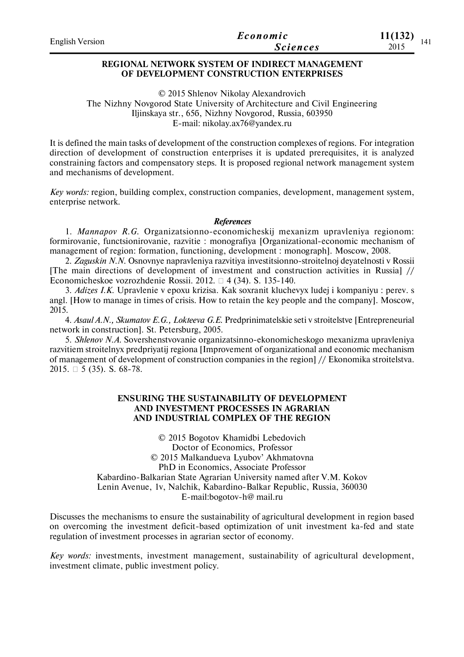| <b>English Version</b> | Economic        | 11(132) |
|------------------------|-----------------|---------|
|                        | <b>Sciences</b> | 2015    |

# **REGIONAL NETWORK SYSTEM OF INDIRECT MANAGEMENT OF DEVELOPMENT CONSTRUCTION ENTERPRISES**

© 2015 Shlenov Nikolay Alexandrovich The Nizhny Novgorod State University of Architecture and Civil Engineering Iljinskaya str., 65б, Nizhny Novgorod, Russia, 603950 E-mail: nikolay.ax76@yandex.ru

It is defined the main tasks of development of the construction complexes of regions. For integration direction of development of construction enterprises it is updated prerequisites, it is analyzed constraining factors and compensatory steps. It is proposed regional network management system and mechanisms of development.

*Key words:* region, building complex, construction companies, development, management system, enterprise network.

### *References*

1. *Mannapov R.G.* Organizatsionno-economicheskij mexanizm upravleniya regionom: formirovanie, functsionirovanie, razvitie : monografiya [Organizational-economic mechanism of management of region: formation, functioning, development : monograph]. Moscow, 2008.

2. *Zaguskin N.N.* Osnovnye napravleniya razvitiya investitsionno-stroitelnoj deyatelnosti v Rossii [The main directions of development of investment and construction activities in Russia] // Economicheskoe vozrozhdenie Rossii. 2012.  $\Box$  4 (34). S. 135-140.

3. *Adizes I.K.* Upravlenie v epoxu krizisa. Kak soxranit kluchevyx ludej i kompaniyu : perev. s angl. [How to manage in times of crisis. How to retain the key people and the company]. Moscow, 2015.

4. *Asaul A.N., Skumatov E.G., Lokteeva G.E.* Predprinimatelskie seti v stroitelstve [Entrepreneurial network in construction]. St. Petersburg, 2005.

5. *Shlenov N.A.* Sovershenstvovanie organizatsinno-ekonomicheskogo mexanizma upravleniya razvitiem stroitelnyx predpriyatij regiona [Improvement of organizational and economic mechanism of management of development of construction companies in the region] // Ekonomika stroitelstva. 2015.  $\Box$  5 (35). S. 68-78.

# **ENSURING THE SUSTAINABILITY OF DEVELOPMENT AND INVESTMENT PROCESSES IN AGRARIAN AND INDUSTRIAL COMPLEX OF THE REGION**

© 2015 Bogоtov Khamidbi Lebedovich Doctor of Economics, Professor © 2015 Malkandueva Lyubov' Akhmatovna PhD in Economics, Associate Professor Kabardino-Balkarian State Agrarian University named after V.M. Kokov Lenin Avenue, 1v, Nalchik, Kabardino-Balkar Republic, Russia, 360030 E-mail:bogotov-h@ mail.ru

Discusses the mechanisms to ensure the sustainability of agricultural development in region based on overcoming the investment deficit-based optimization of unit investment ka-fed and state regulation of investment processes in agrarian sector of economy.

*Key words:* investments, investment management, sustainability of agricultural development, investment climate, public investment policy.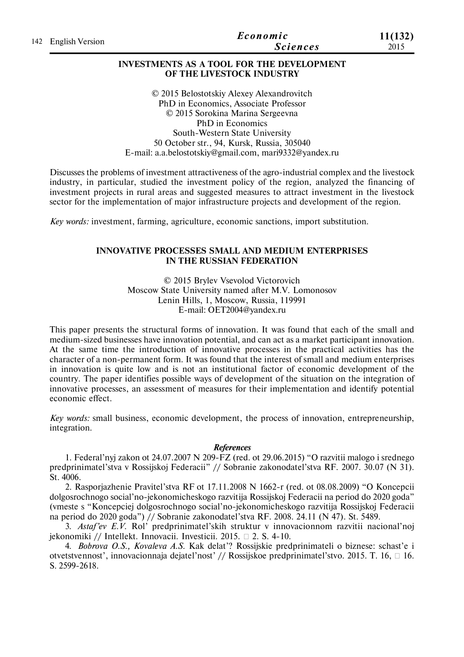|                     | Economic        | 11(132) |
|---------------------|-----------------|---------|
| 142 English Version | <b>Sciences</b> | 2015    |

# **INVESTMENTS AS A TOOL FOR THE DEVELOPMENT OF THE LIVESTOCK INDUSTRY**

© 2015 Belostotskiy Alexey Alexandrovitch PhD in Economics, Associate Professor © 2015 Sorokina Marina Sergeevna PhD in Economics South-Western State University 50 October str., 94, Kursk, Russia, 305040 Е-mail: a.a.belostotskiy@gmail.com, mari9332@yandex.ru

Discusses the problems of investment attractiveness of the agro-industrial complex and the livestock industry, in particular, studied the investment policy of the region, analyzed the financing of investment projects in rural areas and suggested measures to attract investment in the livestock sector for the implementation of major infrastructure projects and development of the region.

*Key words:* investment, farming, agriculture, economic sanctions, import substitution.

# **INNOVATIVE PROCESSES SMALL AND MEDIUM ENTERPRISES IN THE RUSSIAN FEDERATION**

© 2015 Brylev Vsevolod Viсtorovich Moscow State University named after M.V. Lomonosov Lenin Hills, 1, Moscow, Russia, 119991 E-mail: OET2004@yandex.ru

This paper presents the structural forms of innovation. It was found that each of the small and medium-sized businesses have innovation potential, and can act as a market participant innovation. At the same time the introduction of innovative processes in the practical activities has the character of a non-permanent form. It was found that the interest of small and medium enterprises in innovation is quite low and is not an institutional factor of economic development of the country. The paper identifies possible ways of development of the situation on the integration of innovative processes, an assessment of measures for their implementation and identify potential economic effect.

*Key words:* small business, economic development, the process of innovation, entrepreneurship, integration.

## *References*

1. Federal'nyj zakon ot 24.07.2007 N 209-FZ (red. ot 29.06.2015) "O razvitii malogo i srednego predprinimatel'stva v Rossijskoj Federacii" // Sobranie zakonodatel'stva RF. 2007. 30.07 (N 31). St. 4006.

2. Rasporjazhenie Pravitel'stva RF ot 17.11.2008 N 1662-r (red. ot 08.08.2009) "O Koncepcii dolgosrochnogo social'no-jekonomicheskogo razvitija Rossijskoj Federacii na period do 2020 goda" (vmeste s "Koncepciej dolgosrochnogo social'no-jekonomicheskogo razvitija Rossijskoj Federacii na period do 2020 goda") // Sobranie zakonodatel'stva RF. 2008. 24.11 (N 47). St. 5489.

3. *Astaf'ev E.V.* Rol' predprinimatel'skih struktur v innovacionnom razvitii nacional'noj jekonomiki // Intellekt. Innovacii. Investicii. 2015. 2. S. 4-10.

4. *Bobrova O.S., Kovaleva A.S.* Kak delat'? Rossijskie predprinimateli o biznese: schast'e i otvetstvennost', innovacionnaja dejatel'nost' // Rossijskoe predprinimatel'stvo. 2015. T. 16, □ 16. S. 2599-2618.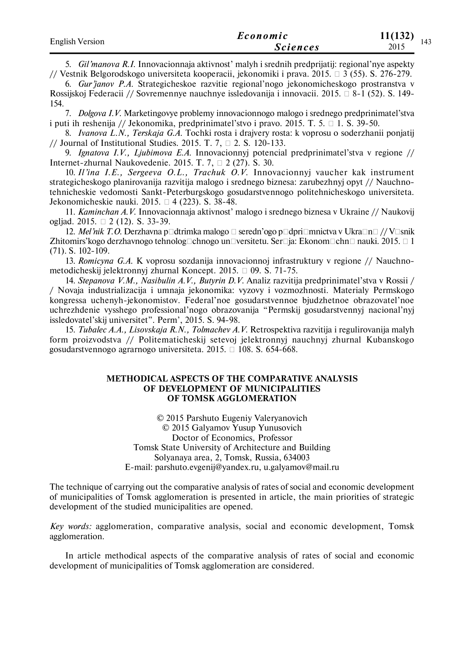| <b>English Version</b> | Economic        | 11(132)<br>143 |
|------------------------|-----------------|----------------|
|                        | <i>Sciences</i> | 2015           |

5. *Gil'manova R.I.* Innovacionnaja aktivnost' malyh i srednih predprijatij: regional'nye aspekty // Vestnik Belgorodskogo universiteta kooperacii, jekonomiki i prava. 2015.  $\Box$  3 (55). S. 276-279.

6. *Gur'janov P.A.* Strategicheskoe razvitie regional'nogo jekonomicheskogo prostranstva v Rossijskoj Federacii // Sovremennye nauchnye issledovanija i innovacii. 2015.  $\Box$  8-1 (52). S. 149-154.

7. *Dolgova I.V.* Marketingovye problemy innovacionnogo malogo i srednego predprinimatel'stva i puti ih reshenija // Jekonomika, predprinimatel'stvo i pravo. 2015. T. 5.  $\Box$  1. S. 39-50.

8. *Ivanova L.N., Terskaja G.A.* Tochki rosta i drajvery rosta: k voprosu o soderzhanii ponjatij // Journal of Institutional Studies. 2015. T. 7,  $\Box$  2. S. 120-133.

9. *Ignatova I.V., Ljubimova E.A.* Innovacionnyj potencial predprinimatel'stva v regione // Internet-zhurnal Naukovedenie. 2015. T. 7,  $\Box$  2 (27). S. 30.

10. *Il'ina I.E., Sergeeva O.L., Trachuk O.V.* Innovacionnyj vaucher kak instrument strategicheskogo planirovanija razvitija malogo i srednego biznesa: zarubezhnyj opyt // Nauchnotehnicheskie vedomosti Sankt-Peterburgskogo gosudarstvennogo politehnicheskogo universiteta. Jekonomicheskie nauki. 2015.  $\Box$  4 (223). S. 38-48.

11. *Kaminchan A.V.* Innovacionnaja aktivnost' malogo i srednego biznesa v Ukraine // Naukovij ogljad. 2015.  $\Box$  2 (12). S. 33-39.

12. *Mel'nik T.O.* Derzhavna p⊡dtrimka malogo □ seredn'ogo p□dpri□mnictva v Ukra $\Box$ n□ // V□snik Zhitomirs'kogo derzhavnogo tehnolog⊡chnogo un□versitetu. Ser□ja: Ekonom□chn□ nauki. 2015. □ 1 (71). S. 102-109.

13. *Romicyna G.A.* K voprosu sozdanija innovacionnoj infrastruktury v regione // Nauchnometodicheskij jelektronnyj zhurnal Koncept. 2015.  $\Box$  09. S. 71-75.

14. *Stepanova V.M., Nasibulin A.V., Butyrin D.V.* Analiz razvitija predprinimatel'stva v Rossii / / Novaja industrializacija i umnaja jekonomika: vyzovy i vozmozhnosti. Materialy Permskogo kongressa uchenyh-jekonomistov. Federal'noe gosudarstvennoe bjudzhetnoe obrazovatel'noe uchrezhdenie vysshego professional'nogo obrazovanija "Permskij gosudarstvennyj nacional'nyj issledovatel'skij universitet". Perm', 2015. S. 94-98.

15. *Tubalec A.A., Lisovskaja R.N., Tolmachev A.V.* Retrospektiva razvitija i regulirovanija malyh form proizvodstva // Politematicheskij setevoj jelektronnyj nauchnyj zhurnal Kubanskogo gosudarstvennogo agrarnogo universiteta. 2015.  $\Box$  108. S. 654-668.

### **METHODICAL ASPECTS OF THE COMPARATIVE ANALYSIS OF DEVELOPMENT OF MUNICIPALITIES OF TOMSK AGGLOMERATION**

© 2015 Parshuto Eugeniy Valeryanovich © 2015 Galyamov Yusup Yunusovich Doctor of Economics, Professor Tomsk State University of Architecture and Building Solyanaya area, 2, Tomsk, Russia, 634003 Е-mail: parshuto.evgenij@yandex.ru, u.galyamov@mail.ru

The technique of carrying out the comparative analysis of rates of social and economic development of municipalities of Tomsk agglomeration is presented in article, the main priorities of strategic development of the studied municipalities are opened.

*Key words:* agglomeration, comparative analysis, social and economic development, Tomsk agglomeration.

In article methodical aspects of the comparative analysis of rates of social and economic development of municipalities of Tomsk agglomeration are considered.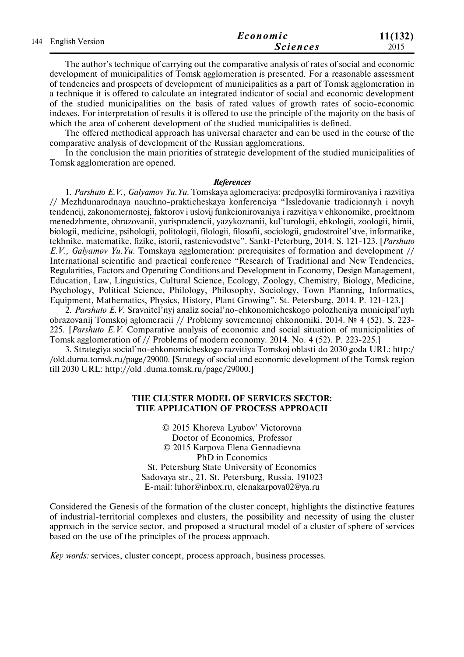| 144 English Version | Economic | 11(132)         |      |
|---------------------|----------|-----------------|------|
|                     |          | <b>Sciences</b> | 2015 |

The author's technique of carrying out the comparative analysis of rates of social and economic development of municipalities of Tomsk agglomeration is presented. For a reasonable assessment of tendencies and prospects of development of municipalities as a part of Tomsk agglomeration in a technique it is offered to calculate an integrated indicator of social and economic development of the studied municipalities on the basis of rated values of growth rates of socio-economic indexes. For interpretation of results it is offered to use the principle of the majority on the basis of which the area of coherent development of the studied municipalities is defined.

The offered methodical approach has universal character and can be used in the course of the comparative analysis of development of the Russian agglomerations.

In the conclusion the main priorities of strategic development of the studied municipalities of Tomsk agglomeration are opened.

#### *References*

1. *Parshuto E.V., Galyamov Yu.Yu.* Tomskaya aglomeraciya: predposylki formirovaniya i razvitiya // Mezhdunarodnaya nauchno-prakticheskaya konferenciya "Issledovanie tradicionnyh i novyh tendencij, zakonomernostej, faktorov i uslovij funkcionirovaniya i razvitiya v ehkonomike, proektnom menedzhmente, obrazovanii, yurisprudencii, yazykoznanii, kul'turologii, ehkologii, zoologii, himii, biologii, medicine, psihologii, politologii, filologii, filosofii, sociologii, gradostroitel'stve, informatike, tekhnike, matematike, fizike, istorii, rastenievodstve". Sankt-Peterburg, 2014. S. 121-123. [*Parshuto E.V., Galyamov Yu.Yu.* Tomskaya agglomeration: prerequisites of formation and development // International scientific and practical conference "Research of Traditional and New Tendencies, Regularities, Factors and Operating Conditions and Development in Economy, Design Management, Education, Law, Linguistics, Cultural Science, Ecology, Zoology, Chemistry, Biology, Medicine, Psychology, Political Science, Philology, Philosophy, Sociology, Town Planning, Informatics, Equipment, Mathematics, Physics, History, Plant Growing". St. Petersburg, 2014. P. 121-123.]

2. *Parshuto E.V.* Sravnitel'nyj analiz social'no-ehkonomicheskogo polozheniya municipal'nyh obrazovanij Tomskoj aglomeracii // Problemy sovremennoj ehkonomiki. 2014. № 4 (52). S. 223- 225. [*Parshuto E.V.* Comparative analysis of economic and social situation of municipalities of Tomsk agglomeration of // Problems of modern economy. 2014. No. 4 (52). P. 223-225.]

3. Strategiya social'no-ehkonomicheskogo razvitiya Tomskoj oblasti do 2030 goda URL: http:/ /old.duma.tomsk.ru/page/29000. [Strategy of social and economic development of the Tomsk region till 2030 URL: http://old .duma.tomsk.ru/page/29000.]

### **THE CLUSTER MODEL OF SERVICES SECTOR: THE APPLICATION OF PROCESS APPROACH**

© 2015 Khoreva Lyubov' Victorovna Doctor of Economics, Professor © 2015 Karpova Elena Gennadievna PhD in Economics St. Petersburg State University of Economics Sadovaya str., 21, St. Petersburg, Russia, 191023 E-mail: luhor@inbox.ru, elenakarpova02@ya.ru

Considered the Genesis of the formation of the cluster concept, highlights the distinctive features of industrial-territorial complexes and clusters, the possibility and necessity of using the cluster approach in the service sector, and proposed a structural model of a cluster of sphere of services based on the use of the principles of the process approach.

*Key words:* services, cluster concept, process approach, business processes.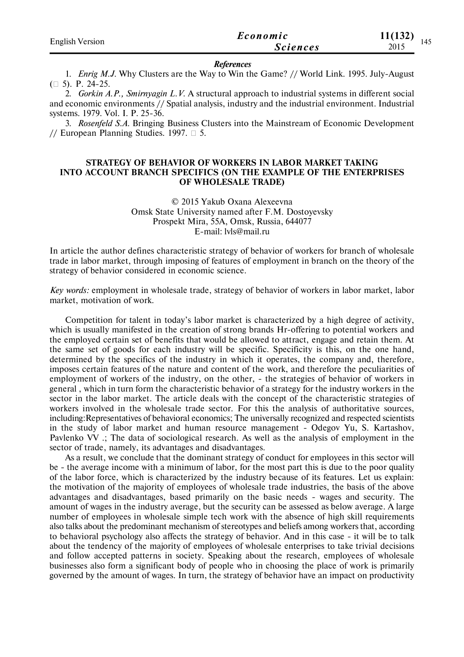| <b>English Version</b> | Economic        | 11(132)<br>145 |
|------------------------|-----------------|----------------|
|                        | <i>Sciences</i> | 2015           |

#### *References*

1. *Enrig M.J.* Why Clusters are the Way to Win the Game? // World Link. 1995. July-August  $(\Box 5)$ . P. 24-25.

2. *Gorkin A.P., Smirnyagin L.V.* A structural approach to industrial systems in different social and economic environments // Spatial analysis, industry and the industrial environment. Industrial systems. 1979. Vol. I. P. 25-36.

3. *Rosenfeld S.A.* Bringing Business Clusters into the Mainstream of Economic Development // European Planning Studies. 1997.  $\Box$  5.

## **STRATEGY OF BEHAVIOR OF WORKERS IN LABOR MARKET TAKING INTO ACCOUNT BRANCH SPECIFICS (ON THE EXAMPLE OF THE ENTERPRISES OF WHOLESALE TRADE)**

© 2015 Yakub Oxana Alexeevna Omsk State University named after F.M. Dostoyevsky Prospekt Mira, 55A, Omsk, Russia, 644077 E-mail: lvls@mail.ru

In article the author defines characteristic strategy of behavior of workers for branch of wholesale trade in labor market, through imposing of features of employment in branch on the theory of the strategy of behavior considered in economic science.

*Key words:* employment in wholesale trade, strategy of behavior of workers in labor market, labor market, motivation of work.

Competition for talent in today's labor market is characterized by a high degree of activity, which is usually manifested in the creation of strong brands Hr-offering to potential workers and the employed certain set of benefits that would be allowed to attract, engage and retain them. At the same set of goods for each industry will be specific. Specificity is this, on the one hand, determined by the specifics of the industry in which it operates, the company and, therefore, imposes certain features of the nature and content of the work, and therefore the peculiarities of employment of workers of the industry, on the other, - the strategies of behavior of workers in general , which in turn form the characteristic behavior of a strategy for the industry workers in the sector in the labor market. The article deals with the concept of the characteristic strategies of workers involved in the wholesale trade sector. For this the analysis of authoritative sources, including:Representatives of behavioral economics; The universally recognized and respected scientists in the study of labor market and human resource management - Odegov Yu, S. Kartashov, Pavlenko VV .; The data of sociological research. As well as the analysis of employment in the sector of trade, namely, its advantages and disadvantages.

As a result, we conclude that the dominant strategy of conduct for employees in this sector will be - the average income with a minimum of labor, for the most part this is due to the poor quality of the labor force, which is characterized by the industry because of its features. Let us explain: the motivation of the majority of employees of wholesale trade industries, the basis of the above advantages and disadvantages, based primarily on the basic needs - wages and security. The amount of wages in the industry average, but the security can be assessed as below average. A large number of employees in wholesale simple tech work with the absence of high skill requirements also talks about the predominant mechanism of stereotypes and beliefs among workers that, according to behavioral psychology also affects the strategy of behavior. And in this case - it will be to talk about the tendency of the majority of employees of wholesale enterprises to take trivial decisions and follow accepted patterns in society. Speaking about the research, employees of wholesale businesses also form a significant body of people who in choosing the place of work is primarily governed by the amount of wages. In turn, the strategy of behavior have an impact on productivity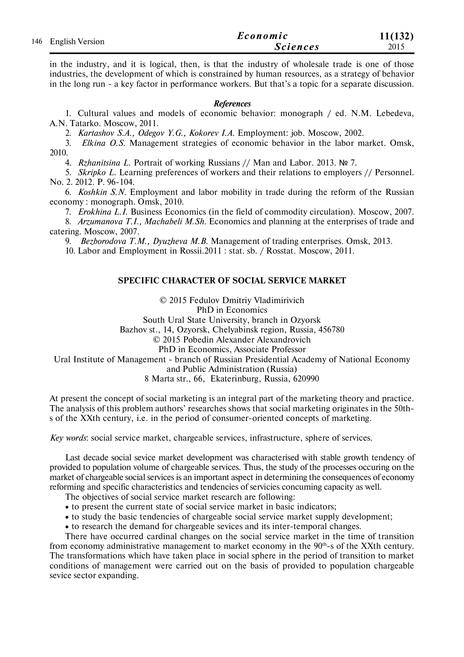| 146 English Version | Economic        | 11(132) |
|---------------------|-----------------|---------|
|                     | <i>Sciences</i> | 2015    |

in the industry, and it is logical, then, is that the industry of wholesale trade is one of those industries, the development of which is constrained by human resources, as a strategy of behavior in the long run - a key factor in performance workers. But that's a topic for a separate discussion.

### *References*

1. Cultural values and models of economic behavior: monograph / ed. N.M. Lebedeva, A.N. Tatarko. Moscow, 2011.

2. *Kartashov S.A., Odegov Y.G., Kokorev I.A.* Employment: job. Moscow, 2002.

3. *Elkina O.S.* Management strategies of economic behavior in the labor market. Omsk, 2010.

4. *Rzhanitsina L.* Portrait of working Russians // Man and Labor. 2013. № 7.

5. *Skripko L.* Learning preferences of workers and their relations to employers // Personnel. No. 2. 2012. P. 96-104.

6. *Koshkin S.N.* Employment and labor mobility in trade during the reform of the Russian economy : monograph. Omsk, 2010.

7. *Erokhina L.I.* Business Economics (in the field of commodity circulation). Moscow, 2007.

8. *Arzumanova T.I., Machabeli M.Sh.* Economics and planning at the enterprises of trade and catering. Moscow, 2007.

9. *Bezborodova T.M., Dyuzheva M.B.* Management of trading enterprises. Omsk, 2013.

10. Labor and Employment in Rossii.2011 : stat. sb. / Rosstat. Moscow, 2011.

# **SPECIFIC CHARACTER OF SOCIAL SERVICE MARKET**

© 2015 Fedulov Dmitriy Vladimirivich PhD in Economics South Ural State University, branch in Ozyorsk Bazhov st., 14, Ozyorsk, Chelyabinsk region, Russia, 456780 © 2015 Pobedin Aleхander Aleхandrovich PhD in Economics, Associate Professor Ural Institute of Management - branch of Russian Presidential Academy of National Economy and Public Administration (Russia) 8 Marta str., 66, Ekaterinburg, Russia, 620990

At present the concept of social marketing is an integral part of the marketing theory and practice. The analysis of this problem authors' researches shows that social marketing originates in the 50ths of the XXth century, i.e. in the period of consumer-oriented concepts of marketing.

*Key words*: social service market, chargeable services, infrastructure, sphere of services.

Last decade social sevice market development was characterised with stable growth tendency of provided to population volume of chargeable services. Thus, the study of the processes occuring on the market of chargeable social services is an important aspect in determining the consequences of economy reforming and specific characteristics and tendencies of servicies concuming capacity as well.

The objectives of social service market research are following:

to present the current state of social service market in basic indicators;

- to study the basic tendencies of chargeable social service market supply development;
- to research the demand for chargeable sevices and its inter-temporal changes.

There have occurred cardinal changes on the social service market in the time of transition from economy administrative management to market economy in the 90<sup>th</sup>-s of the XXth century. The transformations which have taken place in social sphere in the period of transition to market conditions of management were carried out on the basis of provided to population chargeable sevice sector expanding.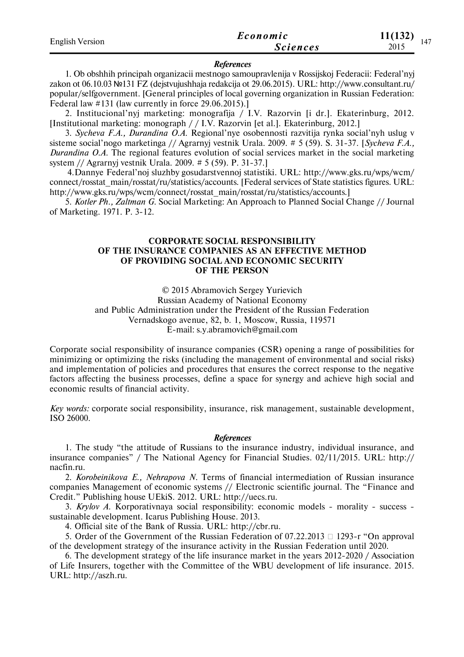| <b>English Version</b> | Economic        | 11(132)<br>147 |
|------------------------|-----------------|----------------|
|                        | <i>Sciences</i> | 2015           |

#### *References*

1. Ob obshhih principah organizacii mestnogo samoupravlenija v Rossijskoj Federacii: Federal'nyj zakon ot 06.10.03 №131 FZ (dejstvujushhaja redakcija ot 29.06.2015). URL: http://www.consultant.ru/ popular/selfgovernment. [General principles of local governing organization in Russian Federation: Federal law #131 (law currently in force 29.06.2015).]

2. Institucional'nyj marketing: monografija / I.V. Razorvin [i dr.]. Ekaterinburg, 2012. [Institutional marketing: monograph / / I.V. Razorvin [et al.]. Ekaterinburg, 2012.]

3. *Sycheva F.A., Durandina O.A.* Regional'nye osobennosti razvitija rynka social'nyh uslug v sisteme social'nogo marketinga // Agrarnyj vestnik Urala. 2009. # 5 (59). S. 31-37. [*Sycheva F.A., Durandina O.A.* The regional features evolution of social services market in the social marketing system // Agrarnyj vestnik Urala. 2009. # 5 (59). P. 31-37.]

 4.Dannye Federal'noj sluzhby gosudarstvennoj statistiki. URL: http://www.gks.ru/wps/wcm/ connect/rosstat\_main/rosstat/ru/statistics/accounts. [Federal services of State statistics figures. URL: http://www.gks.ru/wps/wcm/connect/rosstat\_main/rosstat/ru/statistics/accounts.]

5. *Kotler Ph., Zaltman G.* Social Marketing: An Approach to Planned Social Change // Journal of Marketing. 1971. P. 3-12.

### **CORPORATE SOCIAL RESPONSIBILITY OF THE INSURANCE COMPANIES AS AN EFFECTIVE METHOD OF PROVIDING SOCIAL AND ECONOMIC SECURITY OF THE PERSON**

© 2015 Abramovich Sergey Yurievich

Russian Academy of National Economy

and Public Administration under the President of the Russian Federation

Vernadskogo avenue, 82, b. 1, Moscow, Russia, 119571

E-mail: s.y.abramovich@gmail.com

Corporate social responsibility of insurance companies (CSR) opening a range of possibilities for minimizing or optimizing the risks (including the management of environmental and social risks) and implementation of policies and procedures that ensures the correct response to the negative factors affecting the business processes, define a space for synergy and achieve high social and economic results of financial activity.

*Key words:* corporate social responsibility, insurance, risk management, sustainable development, ISO 26000.

### *References*

1. The study "the attitude of Russians to the insurance industry, individual insurance, and insurance companies" / The National Agency for Financial Studies. 02/11/2015. URL: http:// nacfin.ru.

2. *Korobeinikova E., Nehrapova N.* Terms of financial intermediation of Russian insurance companies Management of economic systems // Electronic scientific journal. The "Finance and Credit." Publishing house UEkiS. 2012. URL: http://uecs.ru.

3. *Krylov A.* Korporativnaya social responsibility: economic models - morality - success sustainable development. Icarus Publishing House. 2013.

4. Official site of the Bank of Russia. URL: http://cbr.ru.

5. Order of the Government of the Russian Federation of 07.22.2013  $\Box$  1293-r "On approval" of the development strategy of the insurance activity in the Russian Federation until 2020.

6. The development strategy of the life insurance market in the years 2012-2020 / Association of Life Insurers, together with the Committee of the WBU development of life insurance. 2015. URL: http://aszh.ru.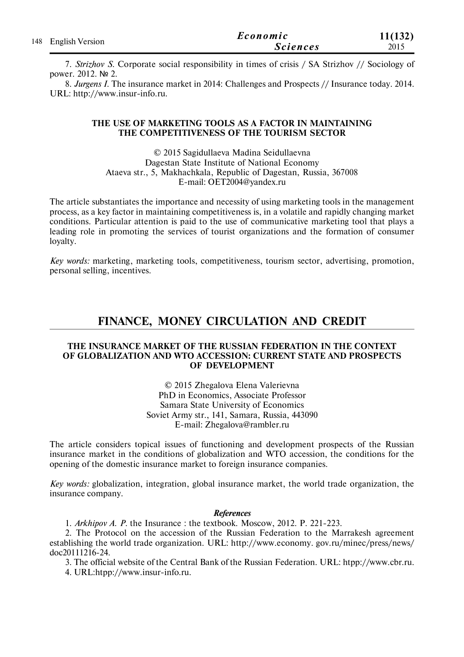| 148 English Version | Economic        | 11(132) |
|---------------------|-----------------|---------|
|                     | <b>Sciences</b> | 2015    |

7. *Strizhov S.* Corporate social responsibility in times of crisis / SA Strizhov // Sociology of power. 2012. № 2.

8. *Jurgens I.* The insurance market in 2014: Challenges and Prospects // Insurance today. 2014. URL: http://www.insur-info.ru.

### **THE USE OF MARKETING TOOLS AS A FACTOR IN MAINTAINING THE COMPETITIVENESS OF THE TOURISM SECTOR**

© 2015 Sagidullaeva Madina Seidullaevna Dagestan State Institute of National Economy Ataeva str., 5, Makhachkala, Republic of Dagestan, Russia, 367008 E-mail: OET2004@yandex.ru

The article substantiates the importance and necessity of using marketing tools in the management process, as a key factor in maintaining competitiveness is, in a volatile and rapidly changing market conditions. Particular attention is paid to the use of communicative marketing tool that plays a leading role in promoting the services of tourist organizations and the formation of consumer loyalty.

*Key words:* marketing, marketing tools, competitiveness, tourism sector, advertising, promotion, personal selling, incentives.

# **FINANCE, MONEY CIRCULATION AND CREDIT**

### **THE INSURANCE MARKET OF THE RUSSIAN FEDERATION IN THE CONTEXT OF GLOBALIZATION AND WTO ACCESSION: CURRENT STATE AND PROSPECTS OF DEVELOPMENT**

© 2015 Zhegalova Elena Valerievna PhD in Economics, Associate Professor Samara State University of Economics Soviet Army str., 141, Samara, Russia, 443090 E-mail: Zhegalova@rambler.ru

The article considers topical issues of functioning and development prospects of the Russian insurance market in the conditions of globalization and WTO accession, the conditions for the opening of the domestic insurance market to foreign insurance companies.

*Key words:* globalization, integration, global insurance market, the world trade organization, the insurance company.

### *References*

1. *Arkhipov A. P.* the Insurance : the textbook. Moscow, 2012. P. 221-223.

2. The Protocol on the accession of the Russian Federation to the Marrakesh agreement establishing the world trade organization. URL: http://www.economy. gov.ru/minec/press/news/ doc20111216-24.

3. The official website of the Central Bank of the Russian Federation. URL: htpp://www.cbr.ru.

4. URL:htpp://www.insur-info.ru.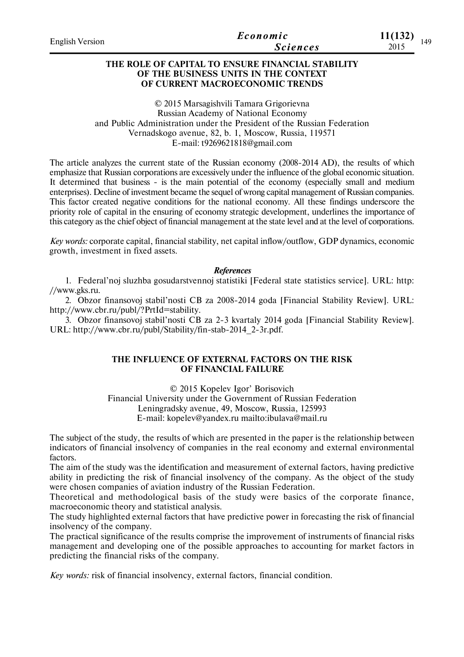| <b>English Version</b> | Economic        | 11(132) |  |
|------------------------|-----------------|---------|--|
|                        | <i>Sciences</i> | 2015    |  |

# **THE ROLE OF CAPITAL TO ENSURE FINANCIAL STABILITY OF THE BUSINESS UNITS IN THE CONTEXT OF CURRENT MACROECONOMIC TRENDS**

© 2015 Marsagishvili Tamara Grigorievna Russian Academy of National Economy and Public Administration under the President of the Russian Federation Vernadskogo avenue, 82, b. 1, Moscow, Russia, 119571 E-mail: t9269621818@gmail.com

The article analyzes the current state of the Russian economy (2008-2014 AD), the results of which emphasize that Russian corporations are excessively under the influence of the global economic situation. It determined that business - is the main potential of the economy (especially small and medium enterprises). Decline of investment became the sequel of wrong capital management of Russian companies. This factor created negative conditions for the national economy. All these findings underscore the priority role of capital in the ensuring of economy strategic development, underlines the importance of this category as the chief object of financial management at the state level and at the level of corporations.

*Key words:* corporate capital, financial stability, net capital inflow/outflow, GDP dynamics, economic growth, investment in fixed assets.

### *References*

1. Federal'noj sluzhba gosudarstvennoj statistiki [Federal state statistics service]. URL: http: //www.gks.ru.

2. Obzor finansovoj stabil'nosti CB za 2008-2014 goda [Financial Stability Review]. URL: http://www.cbr.ru/publ/?PrtId=stability.

3. Obzor finansovoj stabil'nosti CB za 2-3 kvartaly 2014 goda [Financial Stability Review]. URL: http://www.cbr.ru/publ/Stability/fin-stab-2014\_2-3r.pdf.

# **THE INFLUENCE OF EXTERNAL FACTORS ON THE RISK OF FINANCIAL FAILURE**

© 2015 Kopelev Igor' Borisovich Financial University under the Government of Russian Federation Leningradsky avenue, 49, Moscow, Russia, 125993 E-mail: kopelev@yandex.ru mailto:ibulava@mail.ru

The subject of the study, the results of which are presented in the paper is the relationship between indicators of financial insolvency of companies in the real economy and external environmental factors.

The aim of the study was the identification and measurement of external factors, having predictive ability in predicting the risk of financial insolvency of the company. As the object of the study were chosen companies of aviation industry of the Russian Federation.

Theoretical and methodological basis of the study were basics of the corporate finance, macroeconomic theory and statistical analysis.

The study highlighted external factors that have predictive power in forecasting the risk of financial insolvency of the company.

The practical significance of the results comprise the improvement of instruments of financial risks management and developing one of the possible approaches to accounting for market factors in predicting the financial risks of the company.

*Key words:* risk of financial insolvency, external factors, financial condition.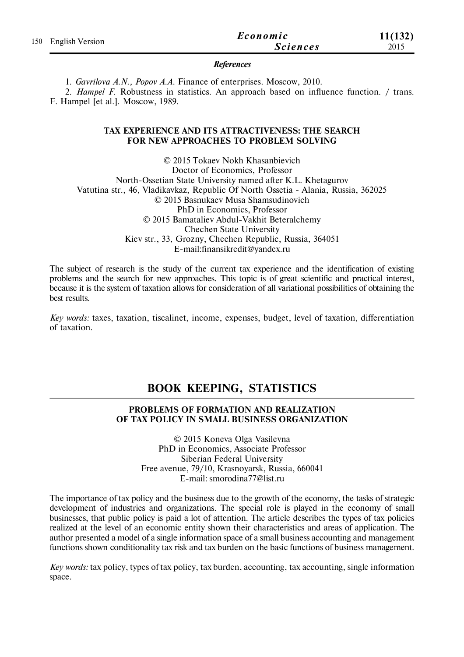| 150 English Version | Economic        | 11(132) |
|---------------------|-----------------|---------|
|                     | <i>Sciences</i> | 2015    |

### *References*

1. *Gavrilova A.N., Popov A.A.* Finance of enterprises. Moscow, 2010.

2. *Hampel F.* Robustness in statistics. An approach based on influence function. / trans. F. Hampel [et al.]. Moscow, 1989.

## **TAX EXPERIENCE AND ITS ATTRACTIVENESS: THE SEARCH FOR NEW APPROACHES TO PROBLEM SOLVING**

© 2015 Tokaev Nokh Khasanbievich Doctor of Economics, Professor North-Ossetian State University named after K.L. Khetagurov Vatutina str., 46, Vladikavkaz, Republic Of North Ossetia - Alania, Russia, 362025 © 2015 Basnukaev Musa Shamsudinovich PhD in Economics, Professor © 2015 Bamataliev Abdul-Vakhit Beteralchemy Chechen State University Kiev str., 33, Grozny, Chechen Republic, Russia, 364051 E-mail:finansikredit@yandex.ru

The subject of research is the study of the current tax experience and the identification of existing problems and the search for new approaches. This topic is of great scientific and practical interest, because it is the system of taxation allows for consideration of all variational possibilities of obtaining the best results.

*Key words:* taxes, taxation, tiscalinet, income, expenses, budget, level of taxation, differentiation of taxation.

# **BOOK KEEPING, STATISTICS**

# **PROBLEMS OF FORMATION AND REALIZATION OF TAX POLICY IN SMALL BUSINESS ORGANIZATION**

© 2015 Koneva Olga Vasilevna PhD in Economics, Associate Professor Siberian Federal University Free avenue, 79/10, Krasnoyarsk, Russia, 660041 E-mail: smorodina77@list.ru

The importance of tax policy and the business due to the growth of the economy, the tasks of strategic development of industries and organizations. The special role is played in the economy of small businesses, that public policy is paid a lot of attention. The article describes the types of tax policies realized at the level of an economic entity shown their characteristics and areas of application. The author presented a model of a single information space of a small business accounting and management functions shown conditionality tax risk and tax burden on the basic functions of business management.

*Key words:* tax policy, types of tax policy, tax burden, accounting, tax accounting, single information space.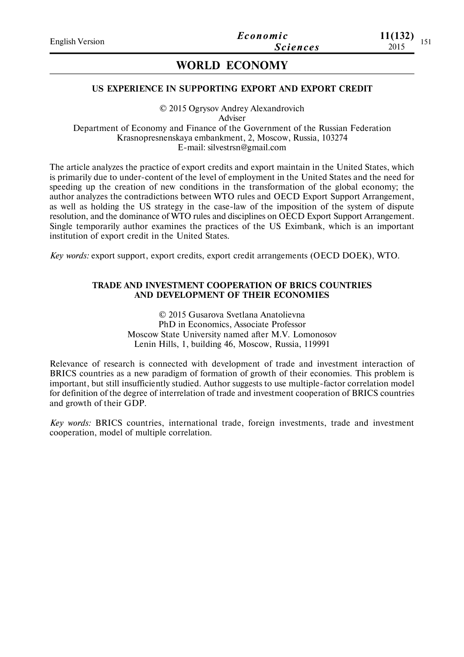# **WORLD ECONOMY**

### **US EXPERIENCE IN SUPPORTING EXPORT AND EXPORT CREDIT**

© 2015 Ogrysov Andrey Alexandrovich Adviser Department of Economy and Finance of the Government of the Russian Federation Krasnopresnenskaya embankment, 2, Moscow, Russia, 103274 E-mail: silvestrsn@gmail.com

The article analyzes the practice of export credits and export maintain in the United States, which is primarily due to under-content of the level of employment in the United States and the need for speeding up the creation of new conditions in the transformation of the global economy; the author analyzes the contradictions between WTO rules and OECD Export Support Arrangement, as well as holding the US strategy in the case-law of the imposition of the system of dispute resolution, and the dominance of WTO rules and disciplines on OECD Export Support Arrangement. Single temporarily author examines the practices of the US Eximbank, which is an important institution of export credit in the United States.

*Key words:* export support, export credits, export credit arrangements (OECD DOEK), WTO.

### **TRADE AND INVESTMENT COOPERATION OF BRICS COUNTRIES AND DEVELOPMENT OF THEIR ECONOMIES**

© 2015 Gusarova Svetlana Anatolievna PhD in Economics, Associate Professor Moscow State University named after M.V. Lomonosov Lenin Hills, 1, building 46, Moscow, Russia, 119991

Relevance of research is connected with development of trade and investment interaction of BRICS countries аs a new paradigm of formation of growth of their economies. This problem is important, but still insufficiently studied. Author suggests to use multiple-factor correlation model for definition of the degree of interrelation of trade and investment cooperation of BRICS countries and growth of their GDP.

*Key words:* BRICS countries, international trade, foreign investments, trade and investment cooperation, model of multiple correlation.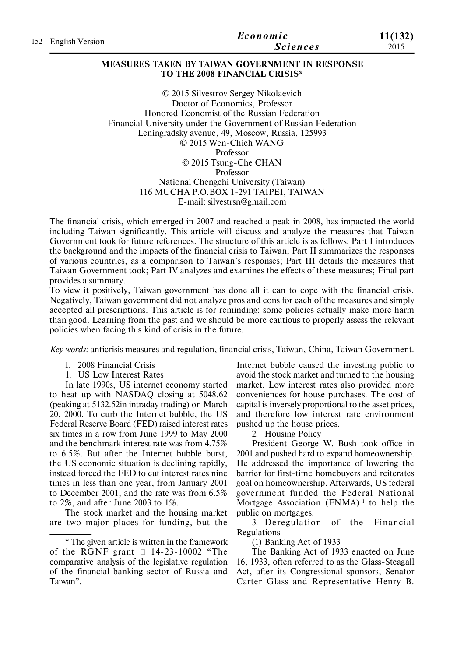|                     | Economic        | 11(132) |
|---------------------|-----------------|---------|
| 152 English Version | <i>Sciences</i> | 2015    |

# **MEASURES TAKEN BY TAIWAN GOVERNMENT IN RESPONSE TO THE 2008 FINANCIAL CRISIS\***

© 2015 Silvestrov Sergey Nikolaevich Doctor of Economics, Professor Honored Economist of the Russian Federation Financial University under the Government of Russian Federation Leningradsky avenue, 49, Moscow, Russia, 125993 © 2015 Wen-Chieh WANG Professor © 2015 Tsung-Che CHAN Professor National Chengchi University (Taiwan) 116 MUCHA P.O.BOX 1-291 TAIPEI, TAIWAN E-mail: silvestrsn@gmail.com

The financial crisis, which emerged in 2007 and reached a peak in 2008, has impacted the world including Taiwan significantly. This article will discuss and analyze the measures that Taiwan Government took for future references. The structure of this article is as follows: Part I introduces the background and the impacts of the financial crisis to Taiwan; Part II summarizes the responses of various countries, as a comparison to Taiwan's responses; Part III details the measures that Taiwan Government took; Part IV analyzes and examines the effects of these measures; Final part provides a summary.

To view it positively, Taiwan government has done all it can to cope with the financial crisis. Negatively, Taiwan government did not analyze pros and cons for each of the measures and simply accepted all prescriptions. This article is for reminding: some policies actually make more harm than good. Learning from the past and we should be more cautious to properly assess the relevant policies when facing this kind of crisis in the future.

*Key words:* anticrisis measures and regulation, financial crisis, Taiwan, China, Taiwan Government.

- I. 2008 Financial Crisis
- 1. US Low Interest Rates

In late 1990s, US internet economy started to heat up with NASDAQ closing at 5048.62 (peaking at 5132.52in intraday trading) on March 20, 2000. To curb the Internet bubble, the US Federal Reserve Board (FED) raised interest rates six times in a row from June 1999 to May 2000 and the benchmark interest rate was from 4.75% to 6.5%. But after the Internet bubble burst, the US economic situation is declining rapidly, instead forced the FED to cut interest rates nine times in less than one year, from January 2001 to December 2001, and the rate was from 6.5% to 2%, and after June 2003 to 1%.

The stock market and the housing market are two major places for funding, but the

Internet bubble caused the investing public to avoid the stock market and turned to the housing market. Low interest rates also provided more conveniences for house purchases. The cost of capital is inversely proportional to the asset prices, and therefore low interest rate environment pushed up the house prices.

2. Housing Policy

President George W. Bush took office in 2001 and pushed hard to expand homeownership. He addressed the importance of lowering the barrier for first-time homebuyers and reiterates goal on homeownership. Afterwards, US federal government funded the Federal National Mortgage Association (FNMA)<sup> $1$ </sup> to help the public on mortgages.

3. Deregulation of the Financial Regulations

(1) Banking Act of 1933

The Banking Act of 1933 enacted on June 16, 1933, often referred to as the Glass-Steagall Act, after its Congressional sponsors, Senator Carter Glass and Representative Henry B.

<sup>\*</sup> The given article is written in the framework of the RGNF grant  $\Box$  14-23-10002 "The comparative analysis of the legislative regulation of the financial-banking sector of Russia and Taiwan".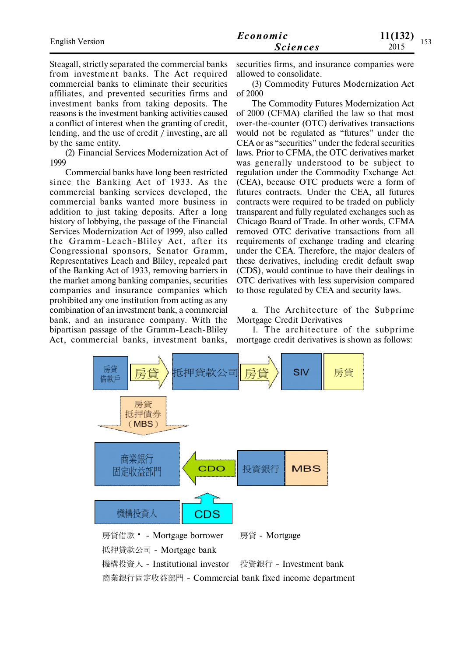|                        | Economic        | 11(132)<br>153 |
|------------------------|-----------------|----------------|
| <b>English Version</b> | <b>Sciences</b> | 1 J J<br>2015  |

Steagall, strictly separated the commercial banks from investment banks. The Act required commercial banks to eliminate their securities affiliates, and prevented securities firms and investment banks from taking deposits. The reasons is the investment banking activities caused a conflict of interest when the granting of credit, lending, and the use of credit / investing, are all by the same entity.

(2) Financial Services Modernization Act of 1999

Commercial banks have long been restricted since the Banking Act of 1933. As the commercial banking services developed, the commercial banks wanted more business in addition to just taking deposits. After a long history of lobbying, the passage of the Financial Services Modernization Act of 1999, also called the Gramm-Leach-Bliley Act, after its Congressional sponsors, Senator Gramm, Representatives Leach and Bliley, repealed part of the Banking Act of 1933, removing barriers in the market among banking companies, securities companies and insurance companies which prohibited any one institution from acting as any combination of an investment bank, a commercial bank, and an insurance company. With the bipartisan passage of the Gramm-Leach-Bliley Act, commercial banks, investment banks, securities firms, and insurance companies were allowed to consolidate.

(3) Commodity Futures Modernization Act of 2000

The Commodity Futures Modernization Act of 2000 (CFMA) clarified the law so that most over-the-counter (OTC) derivatives transactions would not be regulated as "futures" under the CEA or as "securities" under the federal securities laws. Prior to CFMA, the OTC derivatives market was generally understood to be subject to regulation under the Commodity Exchange Act (CEA), because OTC products were a form of futures contracts. Under the CEA, all futures contracts were required to be traded on publicly transparent and fully regulated exchanges such as Chicago Board of Trade. In other words, CFMA removed OTC derivative transactions from all requirements of exchange trading and clearing under the CEA. Therefore, the major dealers of these derivatives, including credit default swap (CDS), would continue to have their dealings in OTC derivatives with less supervision compared to those regulated by CEA and security laws.

a. The Architecture of the Subprime Mortgage Credit Derivatives

1. The architecture of the subprime mortgage credit derivatives is shown as follows:

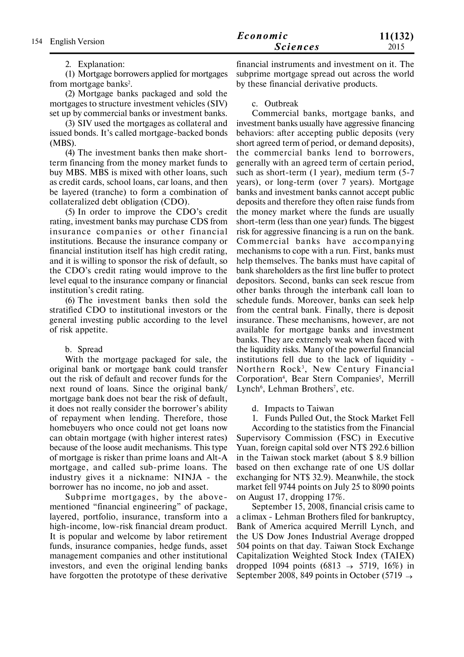# 2. Explanation:

(1) Mortgage borrowers applied for mortgages from mortgage banks<sup>2</sup>.

(2) Mortgage banks packaged and sold the mortgages to structure investment vehicles (SIV) set up by commercial banks or investment banks.

(3) SIV used the mortgages as collateral and issued bonds. It's called mortgage-backed bonds (MBS).

(4) The investment banks then make shortterm financing from the money market funds to buy MBS. MBS is mixed with other loans, such as credit cards, school loans, car loans, and then be layered (tranche) to form a combination of collateralized debt obligation (CDO).

(5) In order to improve the CDO's credit rating, investment banks may purchase CDS from insurance companies or other financial institutions. Because the insurance company or financial institution itself has high credit rating, and it is willing to sponsor the risk of default, so the CDO's credit rating would improve to the level equal to the insurance company or financial institution's credit rating.

(6) The investment banks then sold the stratified CDO to institutional investors or the general investing public according to the level of risk appetite.

## b. Spread

With the mortgage packaged for sale, the original bank or mortgage bank could transfer out the risk of default and recover funds for the next round of loans. Since the original bank/ mortgage bank does not bear the risk of default, it does not really consider the borrower's ability of repayment when lending. Therefore, those homebuyers who once could not get loans now can obtain mortgage (with higher interest rates) because of the loose audit mechanisms. This type of mortgage is risker than prime loans and Alt-A mortgage, and called sub-prime loans. The industry gives it a nickname: NINJA - the borrower has no income, no job and asset.

Subprime mortgages, by the abovementioned "financial engineering" of package, layered, portfolio, insurance, transform into a high-income, low-risk financial dream product. It is popular and welcome by labor retirement funds, insurance companies, hedge funds, asset management companies and other institutional investors, and even the original lending banks have forgotten the prototype of these derivative

financial instruments and investment on it. The subprime mortgage spread out across the world by these financial derivative products.

## c. Outbreak

Commercial banks, mortgage banks, and investment banks usually have aggressive financing behaviors: after accepting public deposits (very short agreed term of period, or demand deposits), the commercial banks lend to borrowers, generally with an agreed term of certain period, such as short-term (1 year), medium term (5-7 years), or long-term (over 7 years). Mortgage banks and investment banks cannot accept public deposits and therefore they often raise funds from the money market where the funds are usually short-term (less than one year) funds. The biggest risk for aggressive financing is a run on the bank. Comme rcial banks have accompanying mechanisms to cope with a run. First, banks must help themselves. The banks must have capital of bank shareholders as the first line buffer to protect depositors. Second, banks can seek rescue from other banks through the interbank call loan to schedule funds. Moreover, banks can seek help from the central bank. Finally, there is deposit insurance. These mechanisms, however, are not available for mortgage banks and investment banks. They are extremely weak when faced with the liquidity risks. Many of the powerful financial institutions fell due to the lack of liquidity - Northern Rock<sup>3</sup>, New Century Financial Corporation<sup>4</sup>, Bear Stern Companies<sup>5</sup>, Merrill Lynch<sup>6</sup>, Lehman Brothers<sup>7</sup>, etc.

d. Impacts to Taiwan

1. Funds Pulled Out, the Stock Market Fell

According to the statistics from the Financial Supervisory Commission (FSC) in Executive Yuan, foreign capital sold over NT\$ 292.6 billion in the Taiwan stock market (about \$ 8.9 billion based on then exchange rate of one US dollar exchanging for NT\$ 32.9). Meanwhile, the stock market fell 9744 points on July 25 to 8090 points on August 17, dropping 17%.

September 15, 2008, financial crisis came to a climax - Lehman Brothers filed for bankruptcy, Bank of America acquired Merrill Lynch, and the US Dow Jones Industrial Average dropped 504 points on that day. Taiwan Stock Exchange Capitalization Weighted Stock Index (TAIEX) dropped 1094 points (6813  $\rightarrow$  5719, 16%) in September 2008, 849 points in October (5719  $\rightarrow$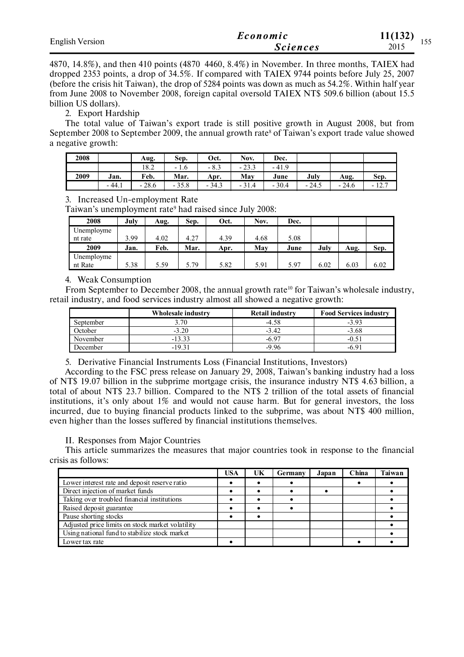| <b>English Version</b> | Economic        | 11(132)<br>$\sim$ $\sim$ $\sim$ |
|------------------------|-----------------|---------------------------------|
|                        | <i>Sciences</i> | 155<br>2015                     |

4870, 14.8%), and then 410 points (4870 4460, 8.4%) in November. In three months, TAIEX had dropped 2353 points, a drop of 34.5%. If compared with TAIEX 9744 points before July 25, 2007 (before the crisis hit Taiwan), the drop of 5284 points was down as much as 54.2%. Within half year from June 2008 to November 2008, foreign capital oversold TAIEX NT\$ 509.6 billion (about 15.5 billion US dollars).

### 2. Export Hardship

The total value of Taiwan's export trade is still positive growth in August 2008, but from September 2008 to September 2009, the annual growth rate<sup>8</sup> of Taiwan's export trade value showed a negative growth:

| 2008 |         | Aug.    | Sep.    | Oct.                      | Nov.    | Dec.    |         |         |         |
|------|---------|---------|---------|---------------------------|---------|---------|---------|---------|---------|
|      |         | 18.2    | $-1.6$  | $\circ$ $\circ$<br>$-0.5$ | $-23.3$ | $-41.9$ |         |         |         |
| 2009 | Jan.    | Feb.    | Mar.    | Apr.                      | May     | June    | July    | Aug.    | Sep.    |
|      | $-44.1$ | $-28.6$ | $-35.8$ | $-34.3$                   | $-31.4$ | $-30.4$ | $-24.5$ | $-24.6$ | $-12.7$ |

### 3. Increased Un-employment Rate

Taiwan's unemployment rate<sup>9</sup> had raised since July 2008:

| 2008       | July | Aug. | Sep. | Oct. | Nov. | Dec. |      |      |      |
|------------|------|------|------|------|------|------|------|------|------|
| Unemployme |      |      |      |      |      |      |      |      |      |
| nt rate    | 3.99 | 4.02 | 4.27 | 4.39 | 4.68 | 5.08 |      |      |      |
| 2009       | Jan. | Feb. | Mar. | Apr. | Mav  | June | July | Aug. | Sep. |
| Unemployme |      |      |      |      |      |      |      |      |      |
| nt Rate    | 5.38 | 5.59 | 5.79 | 5.82 | 5.91 | 5.97 | 6.02 | 6.03 | 6.02 |

### 4. Weak Consumption

From September to December 2008, the annual growth rate<sup>10</sup> for Taiwan's wholesale industry, retail industry, and food services industry almost all showed a negative growth:

|           | Wholesale industry | <b>Retail industry</b> | <b>Food Services industry</b> |
|-----------|--------------------|------------------------|-------------------------------|
| September | 3.70               | $-4.58$                | $-3.93$                       |
| October   | $-3.20$            | $-3.42$                | $-3.68$                       |
| November  | $-13.33$           | $-6.97$                | $-0.51$                       |
| December  | -1931              | -9 96                  | -6 91                         |

5. Derivative Financial Instruments Loss (Financial Institutions, Investors)

According to the FSC press release on January 29, 2008, Taiwan's banking industry had a loss of NT\$ 19.07 billion in the subprime mortgage crisis, the insurance industry NT\$ 4.63 billion, a total of about NT\$ 23.7 billion. Compared to the NT\$ 2 trillion of the total assets of financial institutions, it's only about 1% and would not cause harm. But for general investors, the loss incurred, due to buying financial products linked to the subprime, was about NT\$ 400 million, even higher than the losses suffered by financial institutions themselves.

### II. Responses from Major Countries

This article summarizes the measures that major countries took in response to the financial crisis as follows:

|                                                  | <b>USA</b> | UK | <b>Germany</b> | Japan | China | Taiwan |
|--------------------------------------------------|------------|----|----------------|-------|-------|--------|
| Lower interest rate and deposit reserve ratio    |            |    |                |       |       |        |
| Direct injection of market funds                 |            |    |                |       |       |        |
| Taking over troubled financial institutions      |            |    |                |       |       |        |
| Raised deposit guarantee                         |            |    |                |       |       |        |
| Pause shorting stocks                            |            |    |                |       |       |        |
| Adjusted price limits on stock market volatility |            |    |                |       |       |        |
| Using national fund to stabilize stock market    |            |    |                |       |       |        |
| Lower tax rate                                   |            |    |                |       |       |        |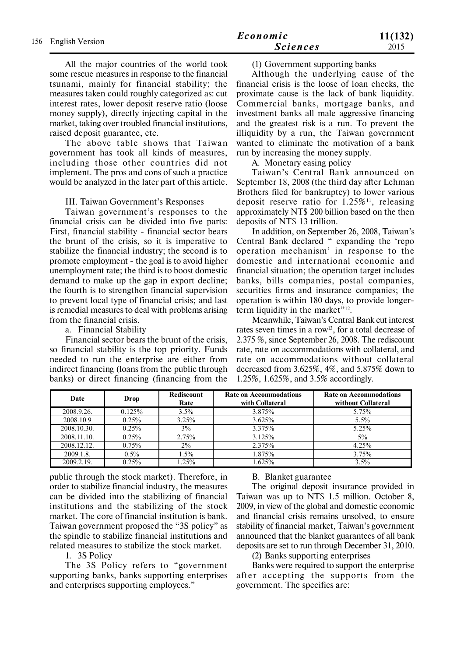All the major countries of the world took some rescue measures in response to the financial tsunami, mainly for financial stability; the measures taken could roughly categorized as: cut interest rates, lower deposit reserve ratio (loose money supply), directly injecting capital in the market, taking over troubled financial institutions, raised deposit guarantee, etc.

The above table shows that Taiwan government has took all kinds of measures, including those other countries did not implement. The pros and cons of such a practice would be analyzed in the later part of this article.

#### III. Taiwan Government's Responses

Taiwan government's responses to the financial crisis can be divided into five parts: First, financial stability - financial sector bears the brunt of the crisis, so it is imperative to stabilize the financial industry; the second is to promote employment - the goal is to avoid higher unemployment rate; the third is to boost domestic demand to make up the gap in export decline; the fourth is to strengthen financial supervision to prevent local type of financial crisis; and last is remedial measures to deal with problems arising from the financial crisis.

### a. Financial Stability

Financial sector bears the brunt of the crisis, so financial stability is the top priority. Funds needed to run the enterprise are either from indirect financing (loans from the public through banks) or direct financing (financing from the

### (1) Government supporting banks

Although the underlying cause of the financial crisis is the loose of loan checks, the proximate cause is the lack of bank liquidity. Commercial banks, mortgage banks, and investment banks all male aggressive financing and the greatest risk is a run. To prevent the illiquidity by a run, the Taiwan government wanted to eliminate the motivation of a bank run by increasing the money supply.

A. Monetary easing policy

Taiwan's Central Bank announced on September 18, 2008 (the third day after Lehman Brothers filed for bankruptcy) to lower various deposit reserve ratio for  $1.25\%$ <sup>11</sup>, releasing approximately NT\$ 200 billion based on the then deposits of NT\$ 13 trillion.

In addition, on September 26, 2008, Taiwan's Central Bank declared " expanding the 'repo operation mechanism' in response to the domestic and international economic and financial situation; the operation target includes banks, bills companies, postal companies, securities firms and insurance companies; the operation is within 180 days, to provide longerterm liquidity in the market" $12$ .

Meanwhile, Taiwan's Central Bank cut interest rates seven times in a row<sup>13</sup>, for a total decrease of 2.375 %, since September 26, 2008. The rediscount rate, rate on accommodations with collateral, and rate on accommodations without collateral decreased from 3.625%, 4%, and 5.875% down to 1.25%, 1.625%, and 3.5% accordingly.

| Date        | Drop    | Rediscount<br>Rate | <b>Rate on Accommodations</b><br>with Collateral | <b>Rate on Accommodations</b><br>without Collateral |
|-------------|---------|--------------------|--------------------------------------------------|-----------------------------------------------------|
| 2008.9.26.  | 0.125%  | 3.5%               | 3.875%                                           | 5.75%                                               |
| 2008.10.9   | 0.25%   | 3.25%              | 3.625%                                           | 5.5%                                                |
| 2008.10.30. | 0.25%   | 3%                 | 3.375%                                           | 5.25%                                               |
| 2008.11.10. | 0.25%   | 2.75%              | 3.125%                                           | $5\%$                                               |
| 2008.12.12. | 0.75%   | 2%                 | 2.375%                                           | 4.25%                                               |
| 2009.1.8.   | $0.5\%$ | 1.5%               | 1.875%                                           | 3.75%                                               |
| 2009.2.19   | 0.25%   | 1.25%              | 1.625%                                           | 3.5%                                                |

public through the stock market). Therefore, in order to stabilize financial industry, the measures can be divided into the stabilizing of financial institutions and the stabilizing of the stock market. The core of financial institution is bank. Taiwan government proposed the "3S policy" as the spindle to stabilize financial institutions and related measures to stabilize the stock market.

1. 3S Policy

The 3S Policy refers to "government supporting banks, banks supporting enterprises and enterprises supporting employees."

## B. Blanket guarantee

The original deposit insurance provided in Taiwan was up to NT\$ 1.5 million. October 8, 2009, in view of the global and domestic economic and financial crisis remains unsolved, to ensure stability of financial market, Taiwan's government announced that the blanket guarantees of all bank deposits are set to run through December 31, 2010.

(2) Banks supporting enterprises

Banks were required to support the enterprise after accepting the supports from the government. The specifics are: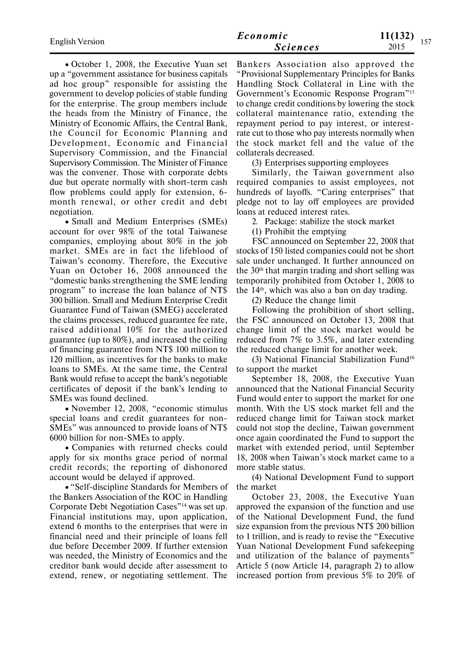| <b>English Version</b> | Economic        | 11(132)<br>157 |  |  |
|------------------------|-----------------|----------------|--|--|
|                        | <b>Sciences</b> | 2015           |  |  |

• October 1, 2008, the Executive Yuan set up a "government assistance for business capitals ad hoc group" responsible for assisting the government to develop policies of stable funding for the enterprise. The group members include the heads from the Ministry of Finance, the Ministry of Economic Affairs, the Central Bank, the Council for Economic Planning and Development, Economic and Financial Supervisory Commission, and the Financial Supervisory Commission. The Minister of Finance was the convener. Those with corporate debts due but operate normally with short-term cash flow problems could apply for extension, 6 month renewal, or other credit and debt negotiation.

Small and Medium Enterprises (SMEs) account for over 98% of the total Taiwanese companies, employing about 80% in the job market. SMEs are in fact the lifeblood of Taiwan's economy. Therefore, the Executive Yuan on October 16, 2008 announced the "domestic banks strengthening the SME lending program" to increase the loan balance of NT\$ 300 billion. Small and Medium Enterprise Credit Guarantee Fund of Taiwan (SMEG) accelerated the claims processes, reduced guarantee fee rate, raised additional 10% for the authorized guarantee (up to 80%), and increased the ceiling of financing guarantee from NT\$ 100 million to 120 million, as incentives for the banks to make loans to SMEs. At the same time, the Central Bank would refuse to accept the bank's negotiable certificates of deposit if the bank's lending to SMEs was found declined.

November 12, 2008, "economic stimulus special loans and credit guarantees for non-SMEs" was announced to provide loans of NT\$ 6000 billion for non-SMEs to apply.

Companies with returned checks could apply for six months grace period of normal credit records; the reporting of dishonored account would be delayed if approved.

"Self-discipline Standards for Members of the Bankers Association of the ROC in Handling Corporate Debt Negotiation Cases"14 was set up. Financial institutions may, upon application, extend 6 months to the enterprises that were in financial need and their principle of loans fell due before December 2009. If further extension was needed, the Ministry of Economics and the creditor bank would decide after assessment to extend, renew, or negotiating settlement. The

Bankers Association also approved the "Provisional Supplementary Principles for Banks Handling Stock Collateral in Line with the Government's Economic Response Program"<sup>15</sup> to change credit conditions by lowering the stock collateral maintenance ratio, extending the repayment period to pay interest, or interestrate cut to those who pay interests normally when the stock market fell and the value of the collaterals decreased.

(3) Enterprises supporting employees

Similarly, the Taiwan government also required companies to assist employees, not hundreds of layoffs. "Caring enterprises" that pledge not to lay off employees are provided loans at reduced interest rates.

2. Package: stabilize the stock market

(1) Prohibit the emptying

FSC announced on September 22, 2008 that stocks of 150 listed companies could not be short sale under unchanged. It further announced on the 30th that margin trading and short selling was temporarily prohibited from October 1, 2008 to the 14th, which was also a ban on day trading.

(2) Reduce the change limit

Following the prohibition of short selling, the FSC announced on October 13, 2008 that change limit of the stock market would be reduced from 7% to 3.5%, and later extending the reduced change limit for another week.

(3) National Financial Stabilization Fund<sup>16</sup> to support the market

September 18, 2008, the Executive Yuan announced that the National Financial Security Fund would enter to support the market for one month. With the US stock market fell and the reduced change limit for Taiwan stock market could not stop the decline, Taiwan government once again coordinated the Fund to support the market with extended period, until September 18, 2008 when Taiwan's stock market came to a more stable status.

(4) National Development Fund to support the market

October 23, 2008, the Executive Yuan approved the expansion of the function and use of the National Development Fund, the fund size expansion from the previous NT\$ 200 billion to 1 trillion, and is ready to revise the "Executive Yuan National Development Fund safekeeping and utilization of the balance of payments" Article 5 (now Article 14, paragraph 2) to allow increased portion from previous 5% to 20% of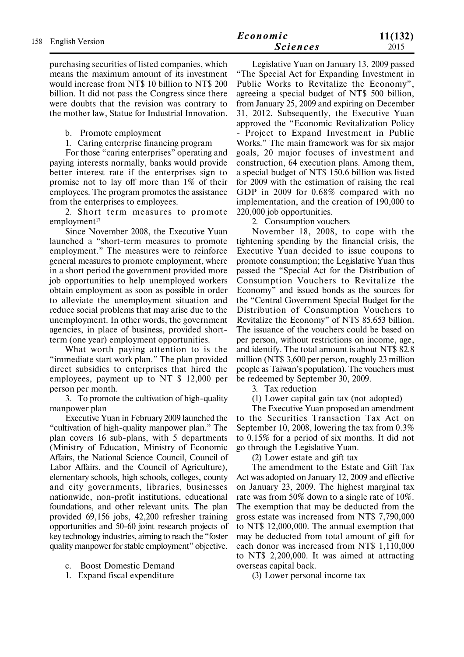purchasing securities of listed companies, which means the maximum amount of its investment would increase from NT\$ 10 billion to NT\$ 200 billion. It did not pass the Congress since there were doubts that the revision was contrary to the mother law, Statue for Industrial Innovation.

b. Promote employment

1. Caring enterprise financing program

For those "caring enterprises" operating and paying interests normally, banks would provide better interest rate if the enterprises sign to promise not to lay off more than 1% of their employees. The program promotes the assistance from the enterprises to employees.

2. Short term measures to promote  $emplovment<sup>17</sup>$ 

Since November 2008, the Executive Yuan launched a "short-term measures to promote employment." The measures were to reinforce general measures to promote employment, where in a short period the government provided more job opportunities to help unemployed workers obtain employment as soon as possible in order to alleviate the unemployment situation and reduce social problems that may arise due to the unemployment. In other words, the government agencies, in place of business, provided shortterm (one year) employment opportunities.

What worth paying attention to is the "immediate start work plan." The plan provided direct subsidies to enterprises that hired the employees, payment up to NT \$ 12,000 per person per month.

3. To promote the cultivation of high-quality manpower plan

Executive Yuan in February 2009 launched the "cultivation of high-quality manpower plan." The plan covers 16 sub-plans, with 5 departments (Ministry of Education, Ministry of Economic Affairs, the National Science Council, Council of Labor Affairs, and the Council of Agriculture), elementary schools, high schools, colleges, county and city governments, libraries, businesses nationwide, non-profit institutions, educational foundations, and other relevant units. The plan provided 69,156 jobs, 42,200 refresher training opportunities and 50-60 joint research projects of key technology industries, aiming to reach the "foster quality manpower for stable employment" objective.

- c. Boost Domestic Demand
- 1. Expand fiscal expenditure

Legislative Yuan on January 13, 2009 passed "The Special Act for Expanding Investment in Public Works to Revitalize the Economy", agreeing a special budget of NT\$ 500 billion, from January 25, 2009 and expiring on December 31, 2012. Subsequently, the Executive Yuan approved the "Economic Revitalization Policy - Project to Expand Investment in Public Works." The main framework was for six major goals, 20 major focuses of investment and construction, 64 execution plans. Among them, a special budget of NT\$ 150.6 billion was listed for 2009 with the estimation of raising the real GDP in 2009 for 0.68% compared with no implementation, and the creation of 190,000 to 220,000 job opportunities.

2. Consumption vouchers

November 18, 2008, to cope with the tightening spending by the financial crisis, the Executive Yuan decided to issue coupons to promote consumption; the Legislative Yuan thus passed the "Special Act for the Distribution of Consumption Vouchers to Revitalize the Economy" and issued bonds as the sources for the "Central Government Special Budget for the Distribution of Consumption Vouchers to Revitalize the Economy" of NT\$ 85.653 billion. The issuance of the vouchers could be based on per person, without restrictions on income, age, and identify. The total amount is about NT\$ 82.8 million (NT\$ 3,600 per person, roughly 23 million people as Taiwan's population). The vouchers must be redeemed by September 30, 2009.

3. Tax reduction

(1) Lower capital gain tax (not adopted)

The Executive Yuan proposed an amendment to the Securities Transaction Tax Act on September 10, 2008, lowering the tax from 0.3% to 0.15% for a period of six months. It did not go through the Legislative Yuan.

(2) Lower estate and gift tax

The amendment to the Estate and Gift Tax Act was adopted on January 12, 2009 and effective on January 23, 2009. The highest marginal tax rate was from 50% down to a single rate of 10%. The exemption that may be deducted from the gross estate was increased from NT\$ 7,790,000 to NT\$ 12,000,000. The annual exemption that may be deducted from total amount of gift for each donor was increased from NT\$ 1,110,000 to NT\$ 2,200,000. It was aimed at attracting overseas capital back.

(3) Lower personal income tax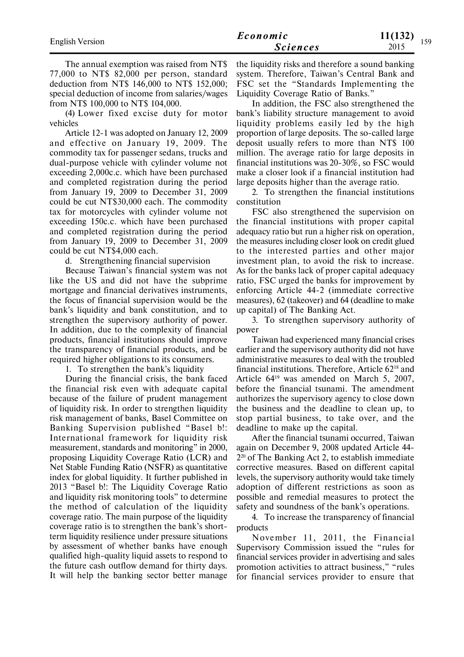| <b>English Version</b> | Economic        | 11(132) |     |  |
|------------------------|-----------------|---------|-----|--|
|                        | <b>Sciences</b> | 2015    | 159 |  |

The annual exemption was raised from NT\$ 77,000 to NT\$ 82,000 per person, standard deduction from NT\$ 146,000 to NT\$ 152,000; special deduction of income from salaries/wages from NT\$ 100,000 to NT\$ 104,000.

(4) Lower fixed excise duty for motor vehicles

Article 12-1 was adopted on January 12, 2009 and effective on January 19, 2009. The commodity tax for passenger sedans, trucks and dual-purpose vehicle with cylinder volume not exceeding 2,000c.c. which have been purchased and completed registration during the period from January 19, 2009 to December 31, 2009 could be cut NT\$30,000 each. The commodity tax for motorcycles with cylinder volume not exceeding 150c.c. which have been purchased and completed registration during the period from January 19, 2009 to December 31, 2009 could be cut NT\$4,000 each.

d. Strengthening financial supervision

Because Taiwan's financial system was not like the US and did not have the subprime mortgage and financial derivatives instruments, the focus of financial supervision would be the bank's liquidity and bank constitution, and to strengthen the supervisory authority of power. In addition, due to the complexity of financial products, financial institutions should improve the transparency of financial products, and be required higher obligations to its consumers.

1. To strengthen the bank's liquidity

During the financial crisis, the bank faced the financial risk even with adequate capital because of the failure of prudent management of liquidity risk. In order to strengthen liquidity risk management of banks, Basel Committee on Banking Supervision published "Basel b!: International framework for liquidity risk measurement, standards and monitoring" in 2000, proposing Liquidity Coverage Ratio (LCR) and Net Stable Funding Ratio (NSFR) as quantitative index for global liquidity. It further published in 2013 "Basel b!: The Liquidity Coverage Ratio and liquidity risk monitoring tools" to determine the method of calculation of the liquidity coverage ratio. The main purpose of the liquidity coverage ratio is to strengthen the bank's shortterm liquidity resilience under pressure situations by assessment of whether banks have enough qualified high-quality liquid assets to respond to the future cash outflow demand for thirty days. It will help the banking sector better manage

the liquidity risks and therefore a sound banking system. Therefore, Taiwan's Central Bank and FSC set the "Standards Implementing the Liquidity Coverage Ratio of Banks."

In addition, the FSC also strengthened the bank's liability structure management to avoid liquidity problems easily led by the high proportion of large deposits. The so-called large deposit usually refers to more than NT\$ 100 million. The average ratio for large deposits in financial institutions was 20-30%, so FSC would make a closer look if a financial institution had large deposits higher than the average ratio.

2. To strengthen the financial institutions constitution

FSC also strengthened the supervision on the financial institutions with proper capital adequacy ratio but run a higher risk on operation, the measures including closer look on credit glued to the interested parties and other major investment plan, to avoid the risk to increase. As for the banks lack of proper capital adequacy ratio, FSC urged the banks for improvement by enforcing Article 44-2 (immediate corrective measures), 62 (takeover) and 64 (deadline to make up capital) of The Banking Act.

3. To strengthen supervisory authority of power

Taiwan had experienced many financial crises earlier and the supervisory authority did not have administrative measures to deal with the troubled financial institutions. Therefore, Article 6218 and Article 6419 was amended on March 5, 2007, before the financial tsunami. The amendment authorizes the supervisory agency to close down the business and the deadline to clean up, to stop partial business, to take over, and the deadline to make up the capital.

After the financial tsunami occurred, Taiwan again on December 9, 2008 updated Article 44- 2 <sup>20</sup> of The Banking Act 2, to establish immediate corrective measures. Based on different capital levels, the supervisory authority would take timely adoption of different restrictions as soon as possible and remedial measures to protect the safety and soundness of the bank's operations.

4. To increase the transparency of financial products

November 11, 2011, the Financial Supervisory Commission issued the "rules for financial services provider in advertising and sales promotion activities to attract business," "rules for financial services provider to ensure that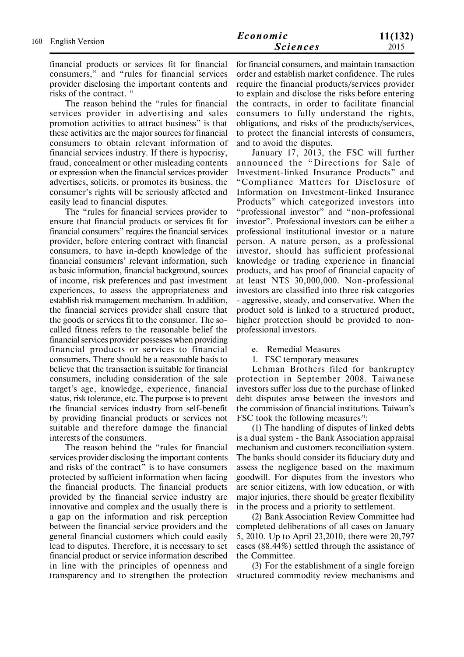financial products or services fit for financial consumers," and "rules for financial services provider disclosing the important contents and risks of the contract. "

The reason behind the "rules for financial services provider in advertising and sales promotion activities to attract business" is that these activities are the major sources for financial consumers to obtain relevant information of financial services industry. If there is hypocrisy, fraud, concealment or other misleading contents or expression when the financial services provider advertises, solicits, or promotes its business, the consumer's rights will be seriously affected and easily lead to financial disputes.

The "rules for financial services provider to ensure that financial products or services fit for financial consumers" requires the financial services provider, before entering contract with financial consumers, to have in-depth knowledge of the financial consumers' relevant information, such as basic information, financial background, sources of income, risk preferences and past investment experiences, to assess the appropriateness and establish risk management mechanism. In addition, the financial services provider shall ensure that the goods or services fit to the consumer. The socalled fitness refers to the reasonable belief the financial services provider possesses when providing financial products or services to financial consumers. There should be a reasonable basis to believe that the transaction is suitable for financial consumers, including consideration of the sale target's age, knowledge, experience, financial status, risk tolerance, etc. The purpose is to prevent the financial services industry from self-benefit by providing financial products or services not suitable and therefore damage the financial interests of the consumers.

The reason behind the "rules for financial services provider disclosing the important contents and risks of the contract" is to have consumers protected by sufficient information when facing the financial products. The financial products provided by the financial service industry are innovative and complex and the usually there is a gap on the information and risk perception between the financial service providers and the general financial customers which could easily lead to disputes. Therefore, it is necessary to set financial product or service information described in line with the principles of openness and transparency and to strengthen the protection for financial consumers, and maintain transaction order and establish market confidence. The rules require the financial products/services provider to explain and disclose the risks before entering the contracts, in order to facilitate financial consumers to fully understand the rights, obligations, and risks of the products/services, to protect the financial interests of consumers, and to avoid the disputes.

January 17, 2013, the FSC will further announced the "Directions for Sale of Investment-linked Insurance Products" and "Compliance Matters for Disclosure of Information on Investment-linked Insurance Products" which categorized investors into "professional investor" and "non-professional investor". Professional investors can be either a professional institutional investor or a nature person. A nature person, as a professional investor, should has sufficient professional knowledge or trading experience in financial products, and has proof of financial capacity of at least NT\$ 30,000,000. Non-professional investors are classified into three risk categories - aggressive, steady, and conservative. When the product sold is linked to a structured product, higher protection should be provided to nonprofessional investors.

- e. Remedial Measures
- 1. FSC temporary measures

Lehman Brothers filed for bankruptcy protection in September 2008. Taiwanese investors suffer loss due to the purchase of linked debt disputes arose between the investors and the commission of financial institutions. Taiwan's FSC took the following measures $21$ :

(1) The handling of disputes of linked debts is a dual system - the Bank Association appraisal mechanism and customers reconciliation system. The banks should consider its fiduciary duty and assess the negligence based on the maximum goodwill. For disputes from the investors who are senior citizens, with low education, or with major injuries, there should be greater flexibility in the process and a priority to settlement.

(2) Bank Association Review Committee had completed deliberations of all cases on January 5, 2010. Up to April 23,2010, there were 20,797 cases (88.44%) settled through the assistance of the Committee.

(3) For the establishment of a single foreign structured commodity review mechanisms and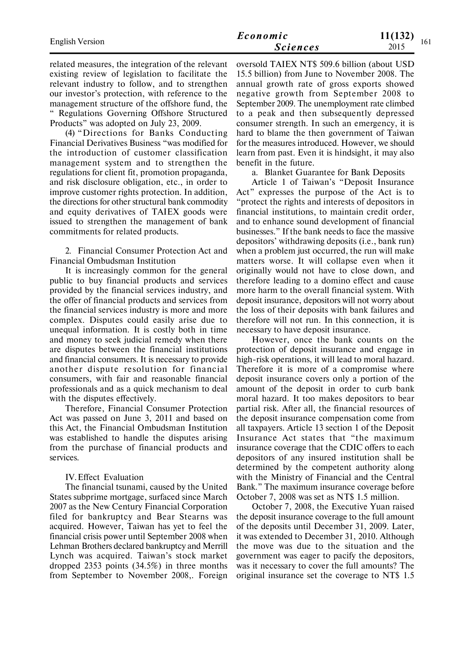| <b>English Version</b> | Economic        | 11(132)<br>161 |  |  |
|------------------------|-----------------|----------------|--|--|
|                        | <b>Sciences</b> | 2015           |  |  |

related measures, the integration of the relevant existing review of legislation to facilitate the relevant industry to follow, and to strengthen our investor's protection, with reference to the management structure of the offshore fund, the " Regulations Governing Offshore Structured Products" was adopted on July 23, 2009.

(4) "Directions for Banks Conducting Financial Derivatives Business "was modified for the introduction of customer classification management system and to strengthen the regulations for client fit, promotion propaganda, and risk disclosure obligation, etc., in order to improve customer rights protection. In addition, the directions for other structural bank commodity and equity derivatives of TAIEX goods were issued to strengthen the management of bank commitments for related products.

2. Financial Consumer Protection Act and Financial Ombudsman Institution

It is increasingly common for the general public to buy financial products and services provided by the financial services industry, and the offer of financial products and services from the financial services industry is more and more complex. Disputes could easily arise due to unequal information. It is costly both in time and money to seek judicial remedy when there are disputes between the financial institutions and financial consumers. It is necessary to provide another dispute resolution for financial consumers, with fair and reasonable financial professionals and as a quick mechanism to deal with the disputes effectively.

Therefore, Financial Consumer Protection Act was passed on June 3, 2011 and based on this Act, the Financial Ombudsman Institution was established to handle the disputes arising from the purchase of financial products and services.

### IV.Effect Evaluation

The financial tsunami, caused by the United States subprime mortgage, surfaced since March 2007 as the New Century Financial Corporation filed for bankruptcy and Bear Stearns was acquired. However, Taiwan has yet to feel the financial crisis power until September 2008 when Lehman Brothers declared bankruptcy and Merrill Lynch was acquired. Taiwan's stock market dropped 2353 points (34.5%) in three months from September to November 2008,. Foreign oversold TAIEX NT\$ 509.6 billion (about USD 15.5 billion) from June to November 2008. The annual growth rate of gross exports showed negative growth from September 2008 to September 2009. The unemployment rate climbed to a peak and then subsequently depressed consumer strength. In such an emergency, it is hard to blame the then government of Taiwan for the measures introduced. However, we should learn from past. Even it is hindsight, it may also benefit in the future.

a. Blanket Guarantee for Bank Deposits

Article 1 of Taiwan's "Deposit Insurance Act" expresses the purpose of the Act is to "protect the rights and interests of depositors in financial institutions, to maintain credit order, and to enhance sound development of financial businesses." If the bank needs to face the massive depositors' withdrawing deposits (i.e., bank run) when a problem just occurred, the run will make matters worse. It will collapse even when it originally would not have to close down, and therefore leading to a domino effect and cause more harm to the overall financial system. With deposit insurance, depositors will not worry about the loss of their deposits with bank failures and therefore will not run. In this connection, it is necessary to have deposit insurance.

However, once the bank counts on the protection of deposit insurance and engage in high-risk operations, it will lead to moral hazard. Therefore it is more of a compromise where deposit insurance covers only a portion of the amount of the deposit in order to curb bank moral hazard. It too makes depositors to bear partial risk. After all, the financial resources of the deposit insurance compensation come from all taxpayers. Article 13 section 1 of the Deposit Insurance Act states that "the maximum insurance coverage that the CDIC offers to each depositors of any insured institution shall be determined by the competent authority along with the Ministry of Financial and the Central Bank." The maximum insurance coverage before October 7, 2008 was set as NT\$ 1.5 million.

October 7, 2008, the Executive Yuan raised the deposit insurance coverage to the full amount of the deposits until December 31, 2009. Later, it was extended to December 31, 2010. Although the move was due to the situation and the government was eager to pacify the depositors, was it necessary to cover the full amounts? The original insurance set the coverage to NT\$ 1.5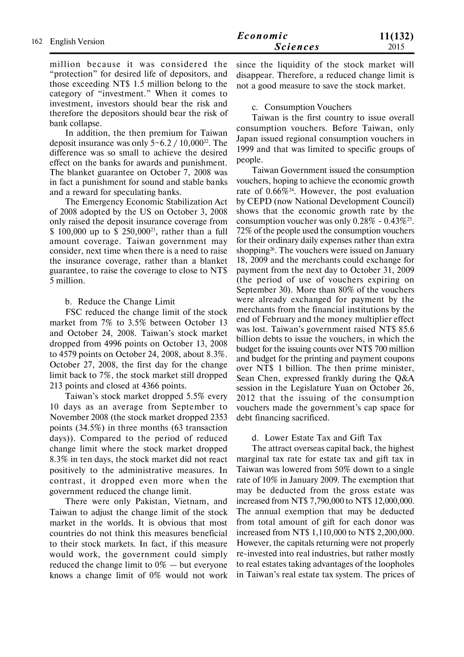million because it was considered the "protection" for desired life of depositors, and those exceeding NT\$ 1.5 million belong to the category of "investment." When it comes to investment, investors should bear the risk and therefore the depositors should bear the risk of bank collapse.

In addition, the then premium for Taiwan deposit insurance was only  $5 \text{--} 6.2 / 10,000^{22}$ . The difference was so small to achieve the desired effect on the banks for awards and punishment. The blanket guarantee on October 7, 2008 was in fact a punishment for sound and stable banks and a reward for speculating banks.

The Emergency Economic Stabilization Act of 2008 adopted by the US on October 3, 2008 only raised the deposit insurance coverage from \$ 100,000 up to \$ 250,00023, rather than a full amount coverage. Taiwan government may consider, next time when there is a need to raise the insurance coverage, rather than a blanket guarantee, to raise the coverage to close to NT\$ 5 million.

# b. Reduce the Change Limit

FSC reduced the change limit of the stock market from 7% to 3.5% between October 13 and October 24, 2008. Taiwan's stock market dropped from 4996 points on October 13, 2008 to 4579 points on October 24, 2008, about 8.3%. October 27, 2008, the first day for the change limit back to 7%, the stock market still dropped 213 points and closed at 4366 points.

Taiwan's stock market dropped 5.5% every 10 days as an average from September to November 2008 (the stock market dropped 2353 points (34.5%) in three months (63 transaction days)). Compared to the period of reduced change limit where the stock market dropped 8.3% in ten days, the stock market did not react positively to the administrative measures. In contrast, it dropped even more when the government reduced the change limit.

There were only Pakistan, Vietnam, and Taiwan to adjust the change limit of the stock market in the worlds. It is obvious that most countries do not think this measures beneficial to their stock markets. In fact, if this measure would work, the government could simply reduced the change limit to  $0\%$  — but everyone knows a change limit of 0% would not work

since the liquidity of the stock market will disappear. Therefore, a reduced change limit is not a good measure to save the stock market.

# c. Consumption Vouchers

Taiwan is the first country to issue overall consumption vouchers. Before Taiwan, only Japan issued regional consumption vouchers in 1999 and that was limited to specific groups of people.

Taiwan Government issued the consumption vouchers, hoping to achieve the economic growth rate of 0.66%24. However, the post evaluation by CEPD (now National Development Council) shows that the economic growth rate by the consumption voucher was only  $0.28\%$  -  $0.43\%$ <sup>25</sup>. 72% of the people used the consumption vouchers for their ordinary daily expenses rather than extra shopping<sup>26</sup>. The vouchers were issued on January 18, 2009 and the merchants could exchange for payment from the next day to October 31, 2009 (the period of use of vouchers expiring on September 30). More than 80% of the vouchers were already exchanged for payment by the merchants from the financial institutions by the end of February and the money multiplier effect was lost. Taiwan's government raised NT\$ 85.6 billion debts to issue the vouchers, in which the budget for the issuing counts over NT\$ 700 million and budget for the printing and payment coupons over NT\$ 1 billion. The then prime minister, Sean Chen, expressed frankly during the Q&A session in the Legislature Yuan on October 26, 2012 that the issuing of the consumption vouchers made the government's cap space for debt financing sacrificed.

# d. Lower Estate Tax and Gift Tax

The attract overseas capital back, the highest marginal tax rate for estate tax and gift tax in Taiwan was lowered from 50% down to a single rate of 10% in January 2009. The exemption that may be deducted from the gross estate was increased from NT\$ 7,790,000 to NT\$ 12,000,000. The annual exemption that may be deducted from total amount of gift for each donor was increased from NT\$ 1,110,000 to NT\$ 2,200,000. However, the capitals returning were not properly re-invested into real industries, but rather mostly to real estates taking advantages of the loopholes in Taiwan's real estate tax system. The prices of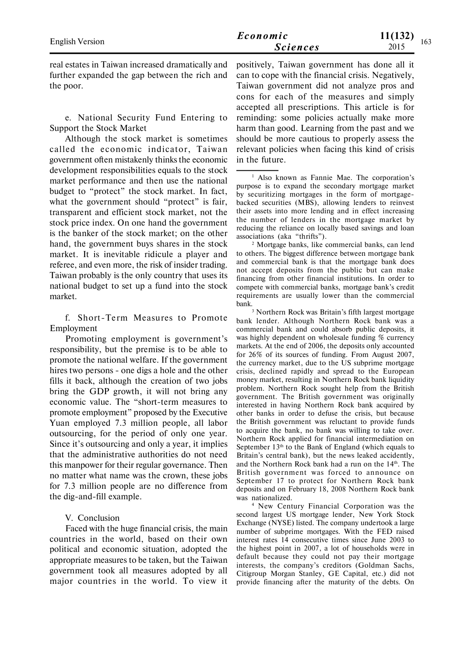real estates in Taiwan increased dramatically and further expanded the gap between the rich and the poor.

e. National Security Fund Entering to Support the Stock Market

Although the stock market is sometimes called the economic indicator, Taiwan government often mistakenly thinks the economic development responsibilities equals to the stock market performance and then use the national budget to "protect" the stock market. In fact, what the government should "protect" is fair, transparent and efficient stock market, not the stock price index. On one hand the government is the banker of the stock market; on the other hand, the government buys shares in the stock market. It is inevitable ridicule a player and referee, and even more, the risk of insider trading. Taiwan probably is the only country that uses its national budget to set up a fund into the stock market.

f. Short-Term Measures to Promote Employment

Promoting employment is government's responsibility, but the premise is to be able to promote the national welfare. If the government hires two persons - one digs a hole and the other fills it back, although the creation of two jobs bring the GDP growth, it will not bring any economic value. The "short-term measures to promote employment" proposed by the Executive Yuan employed 7.3 million people, all labor outsourcing, for the period of only one year. Since it's outsourcing and only a year, it implies that the administrative authorities do not need this manpower for their regular governance. Then no matter what name was the crown, these jobs for 7.3 million people are no difference from the dig-and-fill example.

# V. Conclusion

Faced with the huge financial crisis, the main countries in the world, based on their own political and economic situation, adopted the appropriate measures to be taken, but the Taiwan government took all measures adopted by all major countries in the world. To view it positively, Taiwan government has done all it can to cope with the financial crisis. Negatively, Taiwan government did not analyze pros and cons for each of the measures and simply accepted all prescriptions. This article is for reminding: some policies actually make more harm than good. Learning from the past and we should be more cautious to properly assess the relevant policies when facing this kind of crisis in the future.

2 Mortgage banks, like commercial banks, can lend to others. The biggest difference between mortgage bank and commercial bank is that the mortgage bank does not accept deposits from the public but can make financing from other financial institutions. In order to compete with commercial banks, mortgage bank's credit requirements are usually lower than the commercial bank.

3 Northern Rock was Britain's fifth largest mortgage bank lender. Although Northern Rock bank was a commercial bank and could absorb public deposits, it was highly dependent on wholesale funding % currency markets. At the end of 2006, the deposits only accounted for 26% of its sources of funding. From August 2007, the currency market, due to the US subprime mortgage crisis, declined rapidly and spread to the European money market, resulting in Northern Rock bank liquidity problem. Northern Rock sought help from the British government. The British government was originally interested in having Northern Rock bank acquired by other banks in order to defuse the crisis, but because the British government was reluctant to provide funds to acquire the bank, no bank was willing to take over. Northern Rock applied for financial intermediation on September 13<sup>th</sup> to the Bank of England (which equals to Britain's central bank), but the news leaked accidently, and the Northern Rock bank had a run on the 14<sup>th</sup>. The British government was forced to announce on September 17 to protect for Northern Rock bank deposits and on February 18, 2008 Northern Rock bank was nationalized.

4 New Century Financial Corporation was the second largest US mortgage lender, New York Stock Exchange (NYSE) listed. The company undertook a large number of subprime mortgages. With the FED raised interest rates 14 consecutive times since June 2003 to the highest point in 2007, a lot of households were in default because they could not pay their mortgage interests, the company's creditors (Goldman Sachs, Citigroup Morgan Stanley, GE Capital, etc.) did not provide financing after the maturity of the debts. On

<sup>1</sup> Also known as Fannie Mae. The corporation's purpose is to expand the secondary mortgage market by securitizing mortgages in the form of mortgagebacked securities (MBS), allowing lenders to reinvest their assets into more lending and in effect increasing the number of lenders in the mortgage market by reducing the reliance on locally based savings and loan associations (aka "thrifts").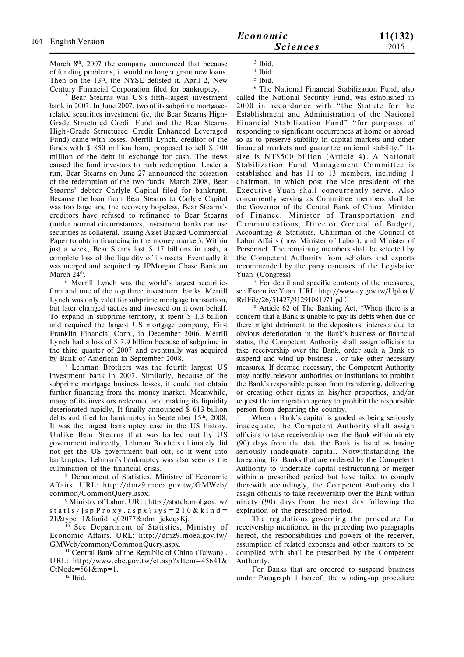5 Bear Stearns was US's fifth-largest investment bank in 2007. In June 2007, two of its subprime mortgagerelated securities investment (ie, the Bear Stearns High-Grade Structured Credit Fund and the Bear Stearns High-Grade Structured Credit Enhanced Leveraged Fund) came with losses. Merrill Lynch, creditor of the funds with \$ 850 million loan, proposed to sell \$ 100 million of the debt in exchange for cash. The news caused the fund investors to rush redemption. Under a run, Bear Stearns on June 27 announced the cessation of the redemption of the two funds. March 2008, Bear Stearns' debtor Carlyle Capital filed for bankrupt. Because the loan from Bear Stearns to Carlyle Capital was too large and the recovery hopeless, Bear Stearns's creditors have refused to refinance to Bear Stearns (under normal circumstances, investment banks can use securities as collateral, issuing Asset Backed Commercial Paper to obtain financing in the money market). Within just a week, Bear Sterns lost \$ 17 billions in cash, a complete loss of the liquidity of its assets. Eventually it was merged and acquired by JPMorgan Chase Bank on March 24<sup>th</sup>.

6 Merrill Lynch was the world's largest securities firm and one of the top three investment banks. Merrill Lynch was only valet for subprime mortgage transaction, but later changed tactics and invested on it own behalf. To expand in subprime territory, it spent \$ 1.3 billion and acquired the largest US mortgage company, First Franklin Financial Corp., in December 2006. Merrill Lynch had a loss of \$ 7.9 billion because of subprime in the third quarter of 2007 and eventually was acquired by Bank of American in September 2008.

7 Lehman Brothers was the fourth largest US investment bank in 2007. Similarly, because of the subprime mortgage business losses, it could not obtain further financing from the money market. Meanwhile, many of its investors redeemed and making its liquidity deteriorated rapidly, It finally announced \$ 613 billion debts and filed for bankruptcy in September 15<sup>th</sup>, 2008. It was the largest bankruptcy case in the US history. Unlike Bear Stearns that was bailed out by US government indirectly, Lehman Brothers ultimately did not get the US government bail-out, so it went into bankruptcy. Lehman's bankruptcy was also seen as the culmination of the financial crisis.

8 Department of Statistics, Ministry of Economic Affairs. URL: http://dmz9.moea.gov.tw/GMWeb/ common/CommonQuery.aspx.

9 Ministry of Labor. URL: http://statdb.mol.gov.tw/ st a t i s / j s p  $P$  r o x y . a s p x ? s y s = 2 1 0 & k i n d = 21&type=1&funid=q02077&rdm=jckeqxKj.

<sup>10</sup> See Department of Statistics, Ministry of Economic Affairs. URL: http://dmz9.moea.gov.tw/ GMWeb/common/CommonQuery.aspx.

<sup>11</sup> Central Bank of the Republic of China (Taiwan). URL: http://www.cbc.gov.tw/ct.asp?xItem=45641&  $CtNode=561\∓=1.$ 

<sup>12</sup> Ibid.

<sup>13</sup> Ibid.

<sup>14</sup> Ibid.

<sup>15</sup> Ibid.

<sup>16</sup> The National Financial Stabilization Fund, also called the National Security Fund, was established in 2000 in accordance with "the Statute for the Establishment and Administration of the National Financial Stabilization Fund" "for purposes of responding to significant occurrences at home or abroad so as to preserve stability in capital markets and other financial markets and guarantee national stability." Its size is NT\$500 billion (Article 4). A National Stabilization Fund Management Committee is established and has 11 to 13 members, including 1 chairman, in which post the vice president of the Executive Yuan shall concurrently serve. Also concurrently serving as Committee members shall be the Governor of the Central Bank of China, Minister of Finance, Minister of Transportation and Communications, Director General of Budget, Accounting & Statistics, Chairman of the Council of Labor Affairs (now Minister of Labor), and Minister of Personnel. The remaining members shall be selected by the Competent Authority from scholars and experts recommended by the party caucuses of the Legislative Yuan (Congress).

<sup>17</sup> For detail and specific contents of the measures, see Executive Yuan. URL: http://www.ey.gov.tw/Upload/ RelFile/26/51427/91291081971.pdf.

<sup>18</sup> Article 62 of The Banking Act, "When there is a concern that a Bank is unable to pay its debts when due or there might detriment to the depositors' interests due to obvious deterioration in the Bank's business or financial status, the Competent Authority shall assign officials to take receivership over the Bank, order such a Bank to suspend and wind up business , or take other necessary measures. If deemed necessary, the Competent Authority may notify relevant authorities or institutions to prohibit the Bank's responsible person from transferring, delivering or creating other rights in his/her properties, and/or request the immigration agency to prohibit the responsible person from departing the country.

When a Bank's capital is graded as being seriously inadequate, the Competent Authority shall assign officials to take receivership over the Bank within ninety (90) days from the date the Bank is listed as having seriously inadequate capital. Notwithstanding the foregoing, for Banks that are ordered by the Competent Authority to undertake capital restructuring or merger within a prescribed period but have failed to comply therewith accordingly, the Competent Authority shall assign officials to take receivership over the Bank within ninety (90) days from the next day following the expiration of the prescribed period.

The regulations governing the procedure for receivership mentioned in the preceding two paragraphs hereof, the responsibilities and powers of the receiver, assumption of related expenses and other matters to be complied with shall be prescribed by the Competent Authority.

For Banks that are ordered to suspend business under Paragraph 1 hereof, the winding-up procedure